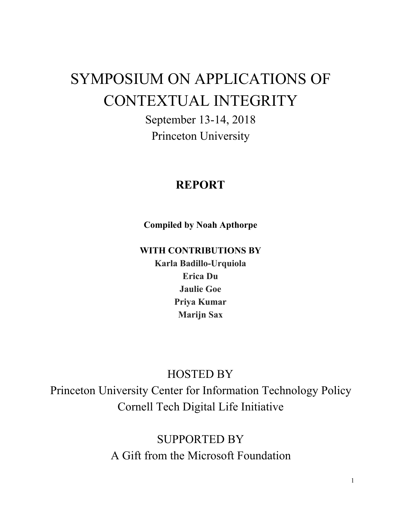# SYMPOSIUM ON APPLICATIONS OF CONTEXTUAL INTEGRITY

September 13-14, 2018 Princeton University

## **REPORT**

**Compiled by Noah Apthorpe**

**WITH CONTRIBUTIONS BY**

**Karla Badillo-Urquiola Erica Du Jaulie Goe Priya Kumar Marijn Sax**

## HOSTED BY

Princeton University Center for Information Technology Policy Cornell Tech Digital Life Initiative

> SUPPORTED BY A Gift from the Microsoft Foundation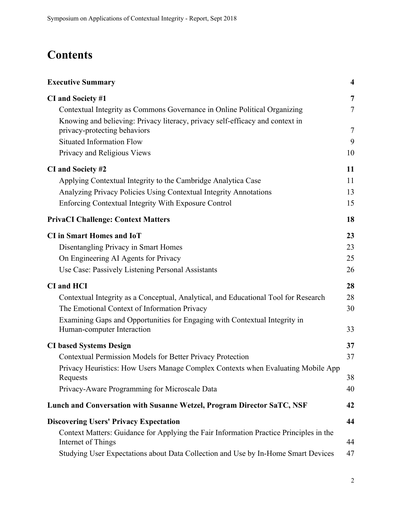## **Contents**

| <b>Executive Summary</b>                                                                                                                                   | $\overline{\mathbf{4}}$ |
|------------------------------------------------------------------------------------------------------------------------------------------------------------|-------------------------|
| CI and Society #1                                                                                                                                          | 7                       |
| Contextual Integrity as Commons Governance in Online Political Organizing<br>Knowing and believing: Privacy literacy, privacy self-efficacy and context in | $\tau$                  |
| privacy-protecting behaviors                                                                                                                               | $\tau$                  |
| <b>Situated Information Flow</b>                                                                                                                           | 9                       |
| Privacy and Religious Views                                                                                                                                | 10                      |
| CI and Society #2                                                                                                                                          | 11                      |
| Applying Contextual Integrity to the Cambridge Analytica Case                                                                                              | 11                      |
| Analyzing Privacy Policies Using Contextual Integrity Annotations                                                                                          | 13                      |
| Enforcing Contextual Integrity With Exposure Control                                                                                                       | 15                      |
| <b>PrivaCI Challenge: Context Matters</b>                                                                                                                  | 18                      |
| <b>CI</b> in Smart Homes and IoT                                                                                                                           | 23                      |
| Disentangling Privacy in Smart Homes                                                                                                                       | 23                      |
| On Engineering AI Agents for Privacy                                                                                                                       | 25                      |
| Use Case: Passively Listening Personal Assistants                                                                                                          | 26                      |
| <b>CI</b> and <b>HCI</b>                                                                                                                                   | 28                      |
| Contextual Integrity as a Conceptual, Analytical, and Educational Tool for Research                                                                        | 28                      |
| The Emotional Context of Information Privacy                                                                                                               | 30                      |
| Examining Gaps and Opportunities for Engaging with Contextual Integrity in<br>Human-computer Interaction                                                   | 33                      |
| <b>CI based Systems Design</b>                                                                                                                             | 37                      |
| Contextual Permission Models for Better Privacy Protection                                                                                                 | 37                      |
| Privacy Heuristics: How Users Manage Complex Contexts when Evaluating Mobile App<br>Requests                                                               | 38                      |
| Privacy-Aware Programming for Microscale Data                                                                                                              | 40                      |
| Lunch and Conversation with Susanne Wetzel, Program Director SaTC, NSF                                                                                     | 42                      |
| <b>Discovering Users' Privacy Expectation</b>                                                                                                              | 44                      |
| Context Matters: Guidance for Applying the Fair Information Practice Principles in the<br>Internet of Things                                               | 44                      |
| Studying User Expectations about Data Collection and Use by In-Home Smart Devices                                                                          | 47                      |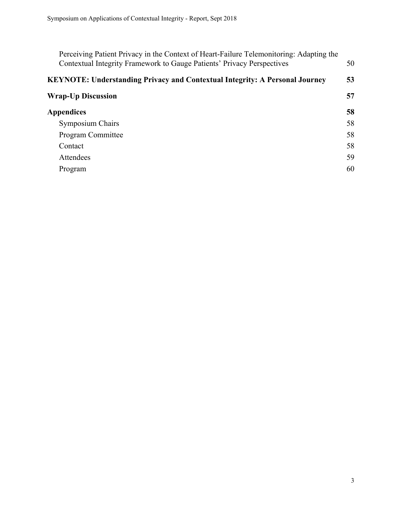| Perceiving Patient Privacy in the Context of Heart-Failure Telemonitoring: Adapting the<br>Contextual Integrity Framework to Gauge Patients' Privacy Perspectives |    |  |
|-------------------------------------------------------------------------------------------------------------------------------------------------------------------|----|--|
| <b>KEYNOTE: Understanding Privacy and Contextual Integrity: A Personal Journey</b>                                                                                |    |  |
| <b>Wrap-Up Discussion</b>                                                                                                                                         | 57 |  |
| Appendices                                                                                                                                                        | 58 |  |
| <b>Symposium Chairs</b>                                                                                                                                           | 58 |  |
| <b>Program Committee</b>                                                                                                                                          | 58 |  |
| Contact                                                                                                                                                           | 58 |  |
| Attendees                                                                                                                                                         | 59 |  |
| Program                                                                                                                                                           | 60 |  |
|                                                                                                                                                                   |    |  |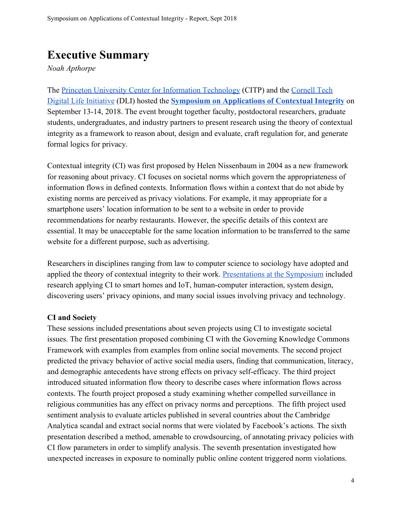## <span id="page-3-0"></span>**Executive Summary**

*Noah Apthorpe*

The [Princeton University Center for Information Technology](https://citp.princeton.edu/) (CITP) and the [Cornell Tech](https://www.dli.tech.cornell.edu/) [Digital Life Initiative](https://www.dli.tech.cornell.edu/) (DLI) hosted the **[Symposium on Applications of Contextual Integrity](http://privaci.info/event/ci_symposium/)** on September 13-14, 2018. The event brought together faculty, postdoctoral researchers, graduate students, undergraduates, and industry partners to present research using the theory of contextual integrity as a framework to reason about, design and evaluate, craft regulation for, and generate formal logics for privacy.

Contextual integrity (CI) was first proposed by Helen Nissenbaum in 2004 as a new framework for reasoning about privacy. CI focuses on societal norms which govern the appropriateness of information flows in defined contexts. Information flows within a context that do not abide by existing norms are perceived as privacy violations. For example, it may appropriate for a smartphone users' location information to be sent to a website in order to provide recommendations for nearby restaurants. However, the specific details of this context are essential. It may be unacceptable for the same location information to be transferred to the same website for a different purpose, such as advertising.

Researchers in disciplines ranging from law to computer science to sociology have adopted and applied the theory of contextual integrity to their work. [Presentations at the Symposium](http://privaci.info/ci_symposium/program.html) included research applying CI to smart homes and IoT, human-computer interaction, system design, discovering users' privacy opinions, and many social issues involving privacy and technology.

#### **CI and Society**

These sessions included presentations about seven projects using CI to investigate societal issues. The first presentation proposed combining CI with the Governing Knowledge Commons Framework with examples from examples from online social movements. The second project predicted the privacy behavior of active social media users, finding that communication, literacy, and demographic antecedents have strong effects on privacy self-efficacy. The third project introduced situated information flow theory to describe cases where information flows across contexts. The fourth project proposed a study examining whether compelled surveillance in religious communities has any effect on privacy norms and perceptions. The fifth project used sentiment analysis to evaluate articles published in several countries about the Cambridge Analytica scandal and extract social norms that were violated by Facebook's actions. The sixth presentation described a method, amenable to crowdsourcing, of annotating privacy policies with CI flow parameters in order to simplify analysis. The seventh presentation investigated how unexpected increases in exposure to nominally public online content triggered norm violations.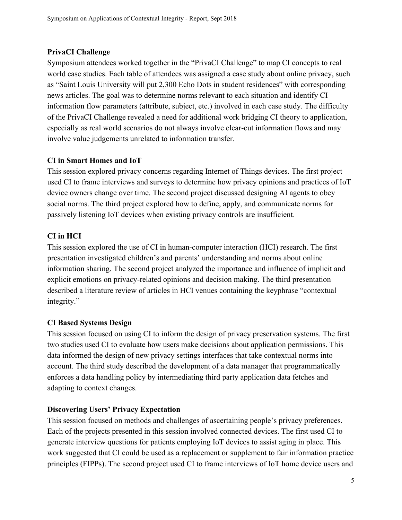## **PrivaCI Challenge**

Symposium attendees worked together in the "PrivaCI Challenge" to map CI concepts to real world case studies. Each table of attendees was assigned a case study about online privacy, such as "Saint Louis University will put 2,300 Echo Dots in student residences" with corresponding news articles. The goal was to determine norms relevant to each situation and identify CI information flow parameters (attribute, subject, etc.) involved in each case study. The difficulty of the PrivaCI Challenge revealed a need for additional work bridging CI theory to application, especially as real world scenarios do not always involve clear-cut information flows and may involve value judgements unrelated to information transfer.

## **CI in Smart Homes and IoT**

This session explored privacy concerns regarding Internet of Things devices. The first project used CI to frame interviews and surveys to determine how privacy opinions and practices of IoT device owners change over time. The second project discussed designing AI agents to obey social norms. The third project explored how to define, apply, and communicate norms for passively listening IoT devices when existing privacy controls are insufficient.

## **CI in HCI**

This session explored the use of CI in human-computer interaction (HCI) research. The first presentation investigated children's and parents' understanding and norms about online information sharing. The second project analyzed the importance and influence of implicit and explicit emotions on privacy-related opinions and decision making. The third presentation described a literature review of articles in HCI venues containing the keyphrase "contextual integrity."

## **CI Based Systems Design**

This session focused on using CI to inform the design of privacy preservation systems. The first two studies used CI to evaluate how users make decisions about application permissions. This data informed the design of new privacy settings interfaces that take contextual norms into account. The third study described the development of a data manager that programmatically enforces a data handling policy by intermediating third party application data fetches and adapting to context changes.

## **Discovering Users' Privacy Expectation**

This session focused on methods and challenges of ascertaining people's privacy preferences. Each of the projects presented in this session involved connected devices. The first used CI to generate interview questions for patients employing IoT devices to assist aging in place. This work suggested that CI could be used as a replacement or supplement to fair information practice principles (FIPPs). The second project used CI to frame interviews of IoT home device users and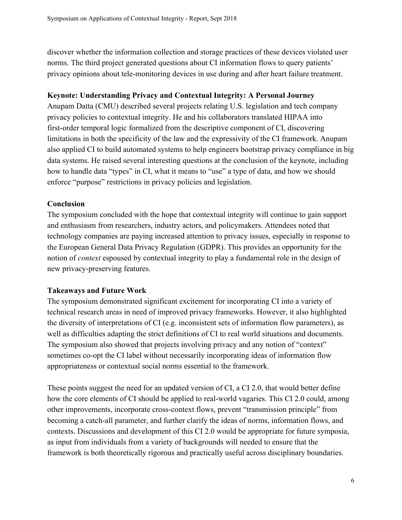discover whether the information collection and storage practices of these devices violated user norms. The third project generated questions about CI information flows to query patients' privacy opinions about tele-monitoring devices in use during and after heart failure treatment.

### **Keynote: Understanding Privacy and Contextual Integrity: A Personal Journey**

Anupam Datta (CMU) described several projects relating U.S. legislation and tech company privacy policies to contextual integrity. He and his collaborators translated HIPAA into first-order temporal logic formalized from the descriptive component of CI, discovering limitations in both the specificity of the law and the expressivity of the CI framework. Anupam also applied CI to build automated systems to help engineers bootstrap privacy compliance in big data systems. He raised several interesting questions at the conclusion of the keynote, including how to handle data "types" in CI, what it means to "use" a type of data, and how we should enforce "purpose" restrictions in privacy policies and legislation.

## **Conclusion**

The symposium concluded with the hope that contextual integrity will continue to gain support and enthusiasm from researchers, industry actors, and policymakers. Attendees noted that technology companies are paying increased attention to privacy issues, especially in response to the European General Data Privacy Regulation (GDPR). This provides an opportunity for the notion of *context* espoused by contextual integrity to play a fundamental role in the design of new privacy-preserving features.

## **Takeaways and Future Work**

The symposium demonstrated significant excitement for incorporating CI into a variety of technical research areas in need of improved privacy frameworks. However, it also highlighted the diversity of interpretations of CI (e.g. inconsistent sets of information flow parameters), as well as difficulties adapting the strict definitions of CI to real world situations and documents. The symposium also showed that projects involving privacy and any notion of "context" sometimes co-opt the CI label without necessarily incorporating ideas of information flow appropriateness or contextual social norms essential to the framework.

These points suggest the need for an updated version of CI, a CI 2.0, that would better define how the core elements of CI should be applied to real-world vagaries. This CI 2.0 could, among other improvements, incorporate cross-context flows, prevent "transmission principle" from becoming a catch-all parameter, and further clarify the ideas of norms, information flows, and contexts. Discussions and development of this CI 2.0 would be appropriate for future symposia, as input from individuals from a variety of backgrounds will needed to ensure that the framework is both theoretically rigorous and practically useful across disciplinary boundaries.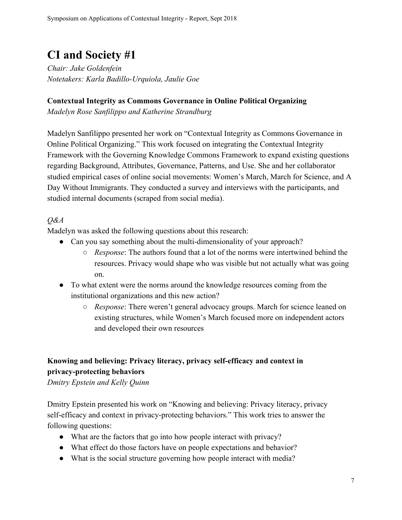## <span id="page-6-0"></span>**CI and Society #1**

*Chair: Jake Goldenfein Notetakers: Karla Badillo-Urquiola, Jaulie Goe*

### <span id="page-6-1"></span>**Contextual Integrity as Commons Governance in Online Political Organizing**

*Madelyn Rose Sanfilippo and Katherine Strandburg*

Madelyn Sanfilippo presented her work on "Contextual Integrity as Commons Governance in Online Political Organizing." This work focused on integrating the Contextual Integrity Framework with the Governing Knowledge Commons Framework to expand existing questions regarding Background, Attributes, Governance, Patterns, and Use. She and her collaborator studied empirical cases of online social movements: Women's March, March for Science, and A Day Without Immigrants. They conducted a survey and interviews with the participants, and studied internal documents (scraped from social media).

## *Q&A*

Madelyn was asked the following questions about this research:

- Can you say something about the multi-dimensionality of your approach?
	- *Response*: The authors found that a lot of the norms were intertwined behind the resources. Privacy would shape who was visible but not actually what was going on.
- To what extent were the norms around the knowledge resources coming from the institutional organizations and this new action?
	- *Response*: There weren't general advocacy groups. March for science leaned on existing structures, while Women's March focused more on independent actors and developed their own resources

## <span id="page-6-2"></span>**Knowing and believing: Privacy literacy, privacy self-efficacy and context in privacy-protecting behaviors**

*Dmitry Epstein and Kelly Quinn*

Dmitry Epstein presented his work on "Knowing and believing: Privacy literacy, privacy self-efficacy and context in privacy-protecting behaviors." This work tries to answer the following questions:

- What are the factors that go into how people interact with privacy?
- What effect do those factors have on people expectations and behavior?
- What is the social structure governing how people interact with media?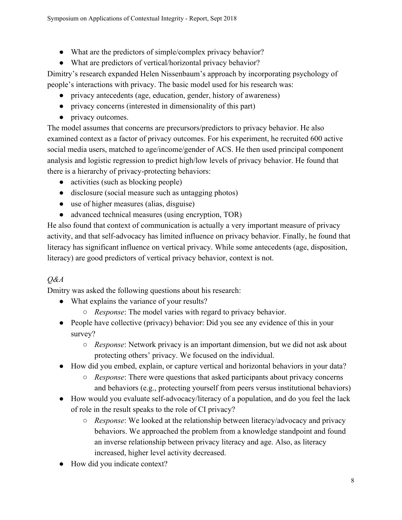- What are the predictors of simple/complex privacy behavior?
- What are predictors of vertical/horizontal privacy behavior?

Dimitry's research expanded Helen Nissenbaum's approach by incorporating psychology of people's interactions with privacy. The basic model used for his research was:

- privacy antecedents (age, education, gender, history of awareness)
- privacy concerns (interested in dimensionality of this part)
- privacy outcomes.

The model assumes that concerns are precursors/predictors to privacy behavior. He also examined context as a factor of privacy outcomes. For his experiment, he recruited 600 active social media users, matched to age/income/gender of ACS. He then used principal component analysis and logistic regression to predict high/low levels of privacy behavior. He found that there is a hierarchy of privacy-protecting behaviors:

- activities (such as blocking people)
- disclosure (social measure such as untagging photos)
- use of higher measures (alias, disguise)
- advanced technical measures (using encryption, TOR)

He also found that context of communication is actually a very important measure of privacy activity, and that self-advocacy has limited influence on privacy behavior. Finally, he found that literacy has significant influence on vertical privacy. While some antecedents (age, disposition, literacy) are good predictors of vertical privacy behavior, context is not.

## *Q&A*

Dmitry was asked the following questions about his research:

- What explains the variance of your results?
	- *Response*: The model varies with regard to privacy behavior.
- People have collective (privacy) behavior: Did you see any evidence of this in your survey?
	- *Response*: Network privacy is an important dimension, but we did not ask about protecting others' privacy. We focused on the individual.
- How did you embed, explain, or capture vertical and horizontal behaviors in your data?
	- *Response*: There were questions that asked participants about privacy concerns and behaviors (e.g., protecting yourself from peers versus institutional behaviors)
- How would you evaluate self-advocacy/literacy of a population, and do you feel the lack of role in the result speaks to the role of CI privacy?
	- *Response*: We looked at the relationship between literacy/advocacy and privacy behaviors. We approached the problem from a knowledge standpoint and found an inverse relationship between privacy literacy and age. Also, as literacy increased, higher level activity decreased.
- How did you indicate context?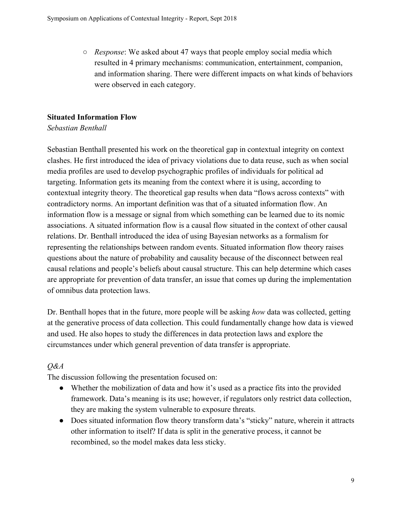○ *Response*: We asked about 47 ways that people employ social media which resulted in 4 primary mechanisms: communication, entertainment, companion, and information sharing. There were different impacts on what kinds of behaviors were observed in each category.

## <span id="page-8-0"></span>**Situated Information Flow**

## *Sebastian Benthall*

Sebastian Benthall presented his work on the theoretical gap in contextual integrity on context clashes. He first introduced the idea of privacy violations due to data reuse, such as when social media profiles are used to develop psychographic profiles of individuals for political ad targeting. Information gets its meaning from the context where it is using, according to contextual integrity theory. The theoretical gap results when data "flows across contexts" with contradictory norms. An important definition was that of a situated information flow. An information flow is a message or signal from which something can be learned due to its nomic associations. A situated information flow is a causal flow situated in the context of other causal relations. Dr. Benthall introduced the idea of using Bayesian networks as a formalism for representing the relationships between random events. Situated information flow theory raises questions about the nature of probability and causality because of the disconnect between real causal relations and people's beliefs about causal structure. This can help determine which cases are appropriate for prevention of data transfer, an issue that comes up during the implementation of omnibus data protection laws.

Dr. Benthall hopes that in the future, more people will be asking *how* data was collected, getting at the generative process of data collection. This could fundamentally change how data is viewed and used. He also hopes to study the differences in data protection laws and explore the circumstances under which general prevention of data transfer is appropriate.

## *Q&A*

The discussion following the presentation focused on:

- Whether the mobilization of data and how it's used as a practice fits into the provided framework. Data's meaning is its use; however, if regulators only restrict data collection, they are making the system vulnerable to exposure threats.
- Does situated information flow theory transform data's "sticky" nature, wherein it attracts other information to itself? If data is split in the generative process, it cannot be recombined, so the model makes data less sticky.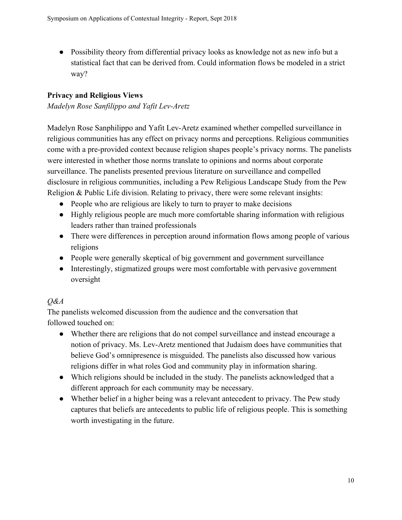• Possibility theory from differential privacy looks as knowledge not as new info but a statistical fact that can be derived from. Could information flows be modeled in a strict way?

## <span id="page-9-0"></span>**Privacy and Religious Views**

*Madelyn Rose Sanfilippo and Yafit Lev-Aretz*

Madelyn Rose Sanphilippo and Yafit Lev-Aretz examined whether compelled surveillance in religious communities has any effect on privacy norms and perceptions. Religious communities come with a pre-provided context because religion shapes people's privacy norms. The panelists were interested in whether those norms translate to opinions and norms about corporate surveillance. The panelists presented previous literature on surveillance and compelled disclosure in religious communities, including a Pew Religious Landscape Study from the Pew Religion & Public Life division. Relating to privacy, there were some relevant insights:

- People who are religious are likely to turn to prayer to make decisions
- Highly religious people are much more comfortable sharing information with religious leaders rather than trained professionals
- There were differences in perception around information flows among people of various religions
- People were generally skeptical of big government and government surveillance
- Interestingly, stigmatized groups were most comfortable with pervasive government oversight

## *Q&A*

The panelists welcomed discussion from the audience and the conversation that followed touched on:

- Whether there are religions that do not compel surveillance and instead encourage a notion of privacy. Ms. Lev-Aretz mentioned that Judaism does have communities that believe God's omnipresence is misguided. The panelists also discussed how various religions differ in what roles God and community play in information sharing.
- Which religions should be included in the study. The panelists acknowledged that a different approach for each community may be necessary.
- Whether belief in a higher being was a relevant antecedent to privacy. The Pew study captures that beliefs are antecedents to public life of religious people. This is something worth investigating in the future.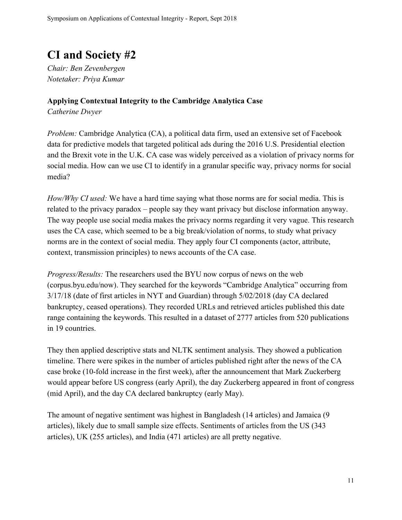## <span id="page-10-0"></span>**CI and Society #2**

*Chair: Ben Zevenbergen Notetaker: Priya Kumar*

## <span id="page-10-1"></span>**Applying Contextual Integrity to the Cambridge Analytica Case**

*Catherine Dwyer*

*Problem:* Cambridge Analytica (CA), a political data firm, used an extensive set of Facebook data for predictive models that targeted political ads during the 2016 U.S. Presidential election and the Brexit vote in the U.K. CA case was widely perceived as a violation of privacy norms for social media. How can we use CI to identify in a granular specific way, privacy norms for social media?

*How/Why CI used:* We have a hard time saying what those norms are for social media. This is related to the privacy paradox – people say they want privacy but disclose information anyway. The way people use social media makes the privacy norms regarding it very vague. This research uses the CA case, which seemed to be a big break/violation of norms, to study what privacy norms are in the context of social media. They apply four CI components (actor, attribute, context, transmission principles) to news accounts of the CA case.

*Progress/Results:* The researchers used the BYU now corpus of news on the web (corpus.byu.edu/now). They searched for the keywords "Cambridge Analytica" occurring from 3/17/18 (date of first articles in NYT and Guardian) through 5/02/2018 (day CA declared bankruptcy, ceased operations). They recorded URLs and retrieved articles published this date range containing the keywords. This resulted in a dataset of 2777 articles from 520 publications in 19 countries.

They then applied descriptive stats and NLTK sentiment analysis. They showed a publication timeline. There were spikes in the number of articles published right after the news of the CA case broke (10-fold increase in the first week), after the announcement that Mark Zuckerberg would appear before US congress (early April), the day Zuckerberg appeared in front of congress (mid April), and the day CA declared bankruptcy (early May).

The amount of negative sentiment was highest in Bangladesh (14 articles) and Jamaica (9 articles), likely due to small sample size effects. Sentiments of articles from the US (343 articles), UK (255 articles), and India (471 articles) are all pretty negative.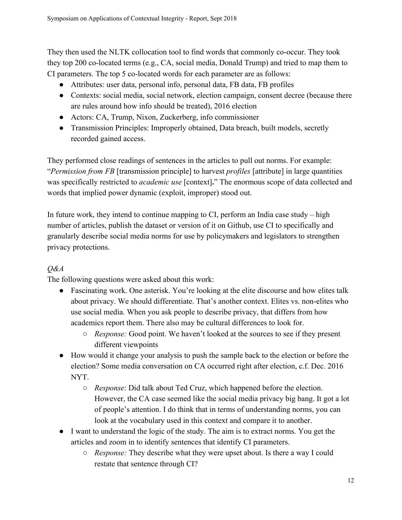They then used the NLTK collocation tool to find words that commonly co-occur. They took they top 200 co-located terms (e.g., CA, social media, Donald Trump) and tried to map them to CI parameters. The top 5 co-located words for each parameter are as follows:

- Attributes: user data, personal info, personal data, FB data, FB profiles
- Contexts: social media, social network, election campaign, consent decree (because there are rules around how info should be treated), 2016 election
- Actors: CA, Trump, Nixon, Zuckerberg, info commissioner
- Transmission Principles: Improperly obtained, Data breach, built models, secretly recorded gained access.

They performed close readings of sentences in the articles to pull out norms. For example: "*Permission from FB* [transmission principle] to harvest *profiles* [attribute] in large quantities was specifically restricted to *academic use* [context]**.**" The enormous scope of data collected and words that implied power dynamic (exploit, improper) stood out.

In future work, they intend to continue mapping to CI, perform an India case study – high number of articles, publish the dataset or version of it on Github, use CI to specifically and granularly describe social media norms for use by policymakers and legislators to strengthen privacy protections.

## *Q&A*

The following questions were asked about this work:

- Fascinating work. One asterisk. You're looking at the elite discourse and how elites talk about privacy. We should differentiate. That's another context. Elites vs. non-elites who use social media. When you ask people to describe privacy, that differs from how academics report them. There also may be cultural differences to look for.
	- *Response:* Good point. We haven't looked at the sources to see if they present different viewpoints
- How would it change your analysis to push the sample back to the election or before the election? Some media conversation on CA occurred right after election, c.f. Dec. 2016 NYT.
	- *Response*: Did talk about Ted Cruz, which happened before the election. However, the CA case seemed like the social media privacy big bang. It got a lot of people's attention. I do think that in terms of understanding norms, you can look at the vocabulary used in this context and compare it to another.
- I want to understand the logic of the study. The aim is to extract norms. You get the articles and zoom in to identify sentences that identify CI parameters.
	- *Response:* They describe what they were upset about. Is there a way I could restate that sentence through CI?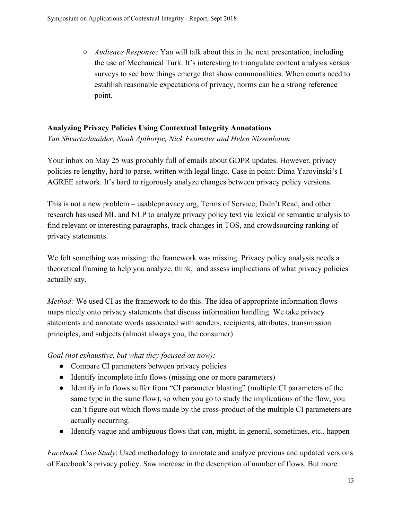○ *Audience Response:* Yan will talk about this in the next presentation, including the use of Mechanical Turk. It's interesting to triangulate content analysis versus surveys to see how things emerge that show commonalities. When courts need to establish reasonable expectations of privacy, norms can be a strong reference point.

## <span id="page-12-0"></span>**Analyzing Privacy Policies Using Contextual Integrity Annotations**

*Yan Shvartzshnaider, Noah Apthorpe, Nick Feamster and Helen Nissenbaum*

Your inbox on May 25 was probably full of emails about GDPR updates. However, privacy policies re lengthy, hard to parse, written with legal lingo. Case in point: Dima Yarovinski's I AGREE artwork. It's hard to rigorously analyze changes between privacy policy versions.

This is not a new problem – usablepriavacy.org, Terms of Service; Didn't Read, and other research has used ML and NLP to analyze privacy policy text via lexical or semantic analysis to find relevant or interesting paragraphs, track changes in TOS, and crowdsourcing ranking of privacy statements.

We felt something was missing: the framework was missing. Privacy policy analysis needs a theoretical framing to help you analyze, think, and assess implications of what privacy policies actually say.

*Method:* We used CI as the framework to do this. The idea of appropriate information flows maps nicely onto privacy statements that discuss information handling. We take privacy statements and annotate words associated with senders, recipients, attributes, transmission principles, and subjects (almost always you, the consumer)

*Goal (not exhaustive, but what they focused on now):*

- Compare CI parameters between privacy policies
- Identify incomplete info flows (missing one or more parameters)
- Identify info flows suffer from "CI parameter bloating" (multiple CI parameters of the same type in the same flow), so when you go to study the implications of the flow, you can't figure out which flows made by the cross-product of the multiple CI parameters are actually occurring.
- Identify vague and ambiguous flows that can, might, in general, sometimes, etc., happen

*Facebook Case Study*: Used methodology to annotate and analyze previous and updated versions of Facebook's privacy policy. Saw increase in the description of number of flows. But more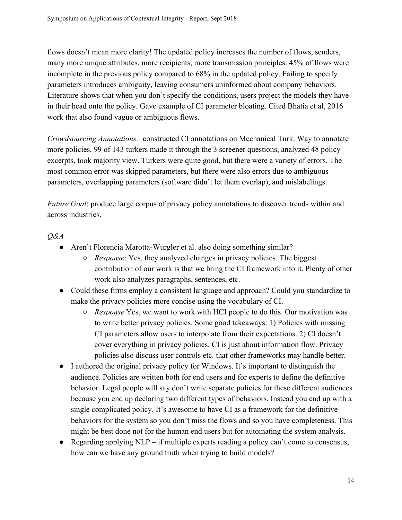flows doesn't mean more clarity! The updated policy increases the number of flows, senders, many more unique attributes, more recipients, more transmission principles. 45% of flows were incomplete in the previous policy compared to 68% in the updated policy. Failing to specify parameters introduces ambiguity, leaving consumers uninformed about company behaviors. Literature shows that when you don't specify the conditions, users project the models they have in their head onto the policy. Gave example of CI parameter bloating. Cited Bhatia et al, 2016 work that also found vague or ambiguous flows.

*Crowdsourcing Annotations:* constructed CI annotations on Mechanical Turk. Way to annotate more policies. 99 of 143 turkers made it through the 3 screener questions, analyzed 48 policy excerpts, took majority view. Turkers were quite good, but there were a variety of errors. The most common error was skipped parameters, but there were also errors due to ambiguous parameters, overlapping parameters (software didn't let them overlap), and mislabelings.

*Future Goal*: produce large corpus of privacy policy annotations to discover trends within and across industries.

## *Q&A*

- Aren't Florencia Marotta-Wurgler et al. also doing something similar?
	- *Response*: Yes, they analyzed changes in privacy policies. The biggest contribution of our work is that we bring the CI framework into it. Plenty of other work also analyzes paragraphs, sentences, etc.
- Could these firms employ a consistent language and approach? Could you standardize to make the privacy policies more concise using the vocabulary of CI.
	- *Response* Yes, we want to work with HCI people to do this. Our motivation was to write better privacy policies. Some good takeaways: 1) Policies with missing CI parameters allow users to interpolate from their expectations. 2) CI doesn't cover everything in privacy policies. CI is just about information flow. Privacy policies also discuss user controls etc. that other frameworks may handle better.
- I authored the original privacy policy for Windows. It's important to distinguish the audience. Policies are written both for end users and for experts to define the definitive behavior. Legal people will say don't write separate policies for these different audiences because you end up declaring two different types of behaviors. Instead you end up with a single complicated policy. It's awesome to have CI as a framework for the definitive behaviors for the system so you don't miss the flows and so you have completeness. This might be best done not for the human end users but for automating the system analysis.
- Regarding applying NLP if multiple experts reading a policy can't come to consensus, how can we have any ground truth when trying to build models?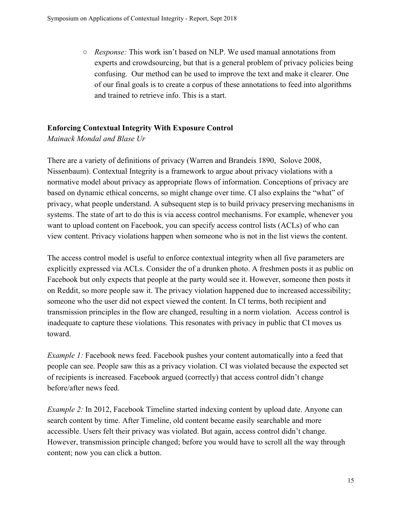○ *Response:* This work isn't based on NLP. We used manual annotations from experts and crowdsourcing, but that is a general problem of privacy policies being confusing. Our method can be used to improve the text and make it clearer. One of our final goals is to create a corpus of these annotations to feed into algorithms and trained to retrieve info. This is a start.

## <span id="page-14-0"></span>**Enforcing Contextual Integrity With Exposure Control**

*Mainack Mondal and Blase Ur*

There are a variety of definitions of privacy (Warren and Brandeis 1890, Solove 2008, Nissenbaum). Contextual Integrity is a framework to argue about privacy violations with a normative model about privacy as appropriate flows of information. Conceptions of privacy are based on dynamic ethical concerns, so might change over time. CI also explains the "what" of privacy, what people understand. A subsequent step is to build privacy preserving mechanisms in systems. The state of art to do this is via access control mechanisms. For example, whenever you want to upload content on Facebook, you can specify access control lists (ACLs) of who can view content. Privacy violations happen when someone who is not in the list views the content.

The access control model is useful to enforce contextual integrity when all five parameters are explicitly expressed via ACLs. Consider the of a drunken photo. A freshmen posts it as public on Facebook but only expects that people at the party would see it. However, someone then posts it on Reddit, so more people saw it. The privacy violation happened due to increased accessibility; someone who the user did not expect viewed the content. In CI terms, both recipient and transmission principles in the flow are changed, resulting in a norm violation. Access control is inadequate to capture these violations. This resonates with privacy in public that CI moves us toward.

*Example 1:* Facebook news feed. Facebook pushes your content automatically into a feed that people can see. People saw this as a privacy violation. CI was violated because the expected set of recipients is increased. Facebook argued (correctly) that access control didn't change before/after news feed.

*Example 2:* In 2012, Facebook Timeline started indexing content by upload date. Anyone can search content by time. After Timeline, old content became easily searchable and more accessible. Users felt their privacy was violated. But again, access control didn't change. However, transmission principle changed; before you would have to scroll all the way through content; now you can click a button.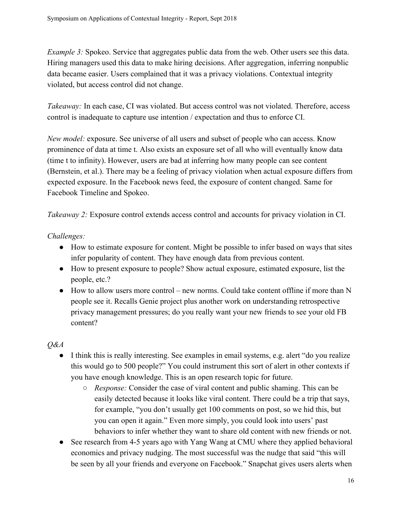*Example 3:* Spokeo. Service that aggregates public data from the web. Other users see this data. Hiring managers used this data to make hiring decisions. After aggregation, inferring nonpublic data became easier. Users complained that it was a privacy violations. Contextual integrity violated, but access control did not change.

*Takeaway:* In each case, CI was violated. But access control was not violated. Therefore, access control is inadequate to capture use intention / expectation and thus to enforce CI.

*New model:* exposure. See universe of all users and subset of people who can access. Know prominence of data at time t. Also exists an exposure set of all who will eventually know data (time t to infinity). However, users are bad at inferring how many people can see content (Bernstein, et al.). There may be a feeling of privacy violation when actual exposure differs from expected exposure. In the Facebook news feed, the exposure of content changed. Same for Facebook Timeline and Spokeo.

*Takeaway 2:* Exposure control extends access control and accounts for privacy violation in CI.

## *Challenges:*

- How to estimate exposure for content. Might be possible to infer based on ways that sites infer popularity of content. They have enough data from previous content.
- How to present exposure to people? Show actual exposure, estimated exposure, list the people, etc.?
- $\bullet$  How to allow users more control new norms. Could take content offline if more than N people see it. Recalls Genie project plus another work on understanding retrospective privacy management pressures; do you really want your new friends to see your old FB content?

## *Q&A*

- I think this is really interesting. See examples in email systems, e.g. alert "do you realize" this would go to 500 people?" You could instrument this sort of alert in other contexts if you have enough knowledge. This is an open research topic for future.
	- *Response:* Consider the case of viral content and public shaming. This can be easily detected because it looks like viral content. There could be a trip that says, for example, "you don't usually get 100 comments on post, so we hid this, but you can open it again." Even more simply, you could look into users' past behaviors to infer whether they want to share old content with new friends or not.
- See research from 4-5 years ago with Yang Wang at CMU where they applied behavioral economics and privacy nudging. The most successful was the nudge that said "this will be seen by all your friends and everyone on Facebook." Snapchat gives users alerts when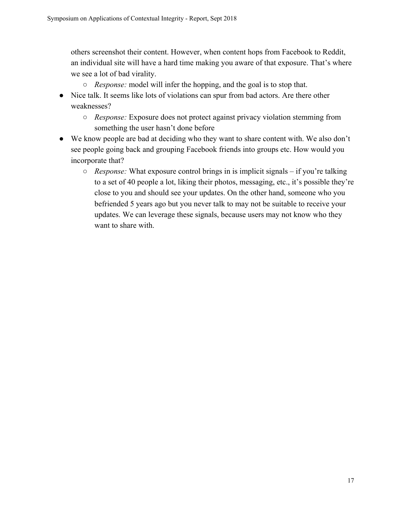others screenshot their content. However, when content hops from Facebook to Reddit, an individual site will have a hard time making you aware of that exposure. That's where we see a lot of bad virality.

- *Response:* model will infer the hopping, and the goal is to stop that.
- Nice talk. It seems like lots of violations can spur from bad actors. Are there other weaknesses?
	- *Response:* Exposure does not protect against privacy violation stemming from something the user hasn't done before
- We know people are bad at deciding who they want to share content with. We also don't see people going back and grouping Facebook friends into groups etc. How would you incorporate that?
	- *Response:* What exposure control brings in is implicit signals if you're talking to a set of 40 people a lot, liking their photos, messaging, etc., it's possible they're close to you and should see your updates. On the other hand, someone who you befriended 5 years ago but you never talk to may not be suitable to receive your updates. We can leverage these signals, because users may not know who they want to share with.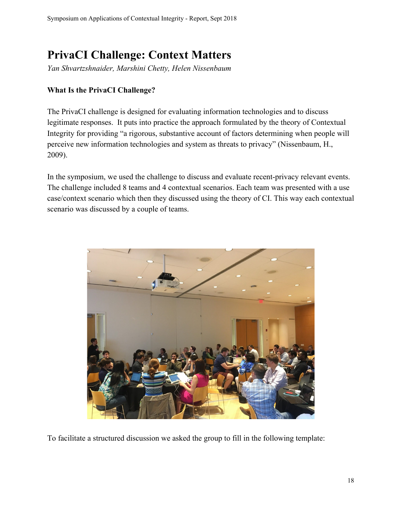## <span id="page-17-0"></span>**PrivaCI Challenge: Context Matters**

*Yan Shvartzshnaider, Marshini Chetty, Helen Nissenbaum*

## **What Is the PrivaCI Challenge?**

The PrivaCI challenge is designed for evaluating information technologies and to discuss legitimate responses. It puts into practice the approach formulated by the theory of Contextual Integrity for providing "a rigorous, substantive account of factors determining when people will perceive new information technologies and system as threats to privacy" (Nissenbaum, H., 2009).

In the symposium, we used the challenge to discuss and evaluate recent-privacy relevant events. The challenge included 8 teams and 4 contextual scenarios. Each team was presented with a use case/context scenario which then they discussed using the theory of CI. This way each contextual scenario was discussed by a couple of teams.



To facilitate a structured discussion we asked the group to fill in the following template: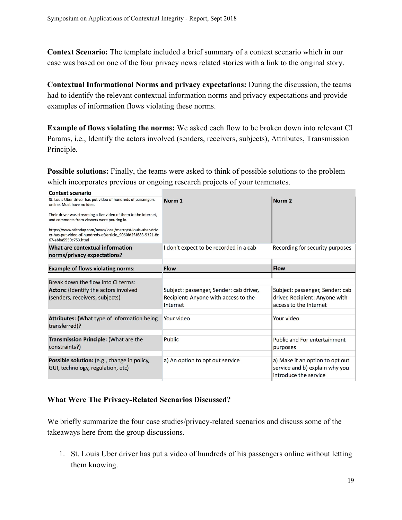**Context Scenario:** The template included a brief summary of a context scenario which in our case was based on one of the four privacy news related stories with a link to the original story.

**Contextual Informational Norms and privacy expectations:** During the discussion, the teams had to identify the relevant contextual information norms and privacy expectations and provide examples of information flows violating these norms.

**Example of flows violating the norms:** We asked each flow to be broken down into relevant CI Params, i.e., Identify the actors involved (senders, receivers, subjects), Attributes, Transmission Principle.

**Possible solutions:** Finally, the teams were asked to think of possible solutions to the problem which incorporates previous or ongoing research projects of your teammates.

| <b>Context scenario</b>                                                                                                                               |                                         |                                                                                            |
|-------------------------------------------------------------------------------------------------------------------------------------------------------|-----------------------------------------|--------------------------------------------------------------------------------------------|
| St. Louis Uber driver has put video of hundreds of passengers<br>online. Most have no idea.                                                           | Norm <sub>1</sub>                       | Norm <sub>2</sub>                                                                          |
| Their driver was streaming a live video of them to the internet,<br>and comments from viewers were pouring in.                                        |                                         |                                                                                            |
| https://www.stltoday.com/news/local/metro/st-louis-uber-driv<br>er-has-put-video-of-hundreds-of/article_9060fd2f-f683-5321-8c<br>67-ebba5559c753.html |                                         |                                                                                            |
| What are contextual information<br>norms/privacy expectations?                                                                                        | I don't expect to be recorded in a cab  | Recording for security purposes                                                            |
| <b>Example of flows violating norms:</b>                                                                                                              | <b>Flow</b>                             | <b>Flow</b>                                                                                |
|                                                                                                                                                       |                                         |                                                                                            |
| Break down the flow into CI terms:                                                                                                                    |                                         |                                                                                            |
| <b>Actors:</b> (Identify the actors involved                                                                                                          | Subject: passenger, Sender: cab driver, | Subject: passenger, Sender: cab                                                            |
| (senders, receivers, subjects)                                                                                                                        | Recipient: Anyone with access to the    | driver, Recipient: Anyone with                                                             |
|                                                                                                                                                       | Internet                                | access to the Internet                                                                     |
|                                                                                                                                                       |                                         |                                                                                            |
| Attributes: (What type of information being<br>transferred)?                                                                                          | Your video                              | Your video                                                                                 |
|                                                                                                                                                       |                                         |                                                                                            |
| Transmission Principle: (What are the<br>constraints?)                                                                                                | Public                                  | <b>Public and For entertainment</b><br>purposes                                            |
|                                                                                                                                                       |                                         |                                                                                            |
| Possible solution: (e.g., change in policy,<br>GUI, technology, regulation, etc)                                                                      | a) An option to opt out service         | a) Make it an option to opt out<br>service and b) explain why you<br>introduce the service |

#### **What Were The Privacy-Related Scenarios Discussed?**

We briefly summarize the four case studies/privacy-related scenarios and discuss some of the takeaways here from the group discussions.

1. St. Louis Uber driver has put a video of hundreds of his passengers online without letting them knowing.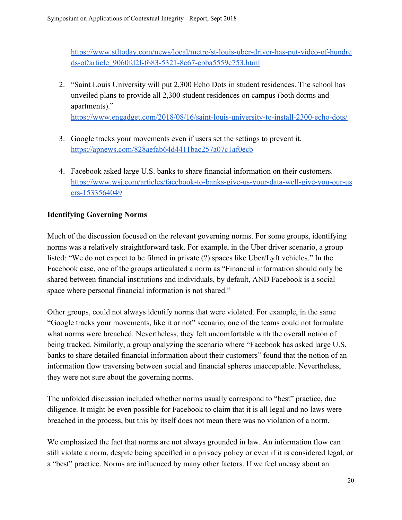[https://www.stltoday.com/news/local/metro/st-louis-uber-driver-has-put-video-of-hundre](https://www.stltoday.com/news/local/metro/st-louis-uber-driver-has-put-video-of-hundreds-of/article_9060fd2f-f683-5321-8c67-ebba5559c753.html) [ds-of/article\\_9060fd2f-f683-5321-8c67-ebba5559c753.html](https://www.stltoday.com/news/local/metro/st-louis-uber-driver-has-put-video-of-hundreds-of/article_9060fd2f-f683-5321-8c67-ebba5559c753.html)

- 2. "Saint Louis University will put 2,300 Echo Dots in student residences. The school has unveiled plans to provide all 2,300 student residences on campus (both dorms and apartments)." <https://www.engadget.com/2018/08/16/saint-louis-university-to-install-2300-echo-dots/>
- 3. Google tracks your movements even if users set the settings to prevent it. <https://apnews.com/828aefab64d4411bac257a07c1af0ecb>
- 4. Facebook asked large U.S. banks to share financial information on their customers. [https://www.wsj.com/articles/facebook-to-banks-give-us-your-data-well-give-you-our-us](https://www.wsj.com/articles/facebook-to-banks-give-us-your-data-well-give-you-our-users-1533564049) [ers-1533564049](https://www.wsj.com/articles/facebook-to-banks-give-us-your-data-well-give-you-our-users-1533564049)

## **Identifying Governing Norms**

Much of the discussion focused on the relevant governing norms. For some groups, identifying norms was a relatively straightforward task. For example, in the Uber driver scenario, a group listed: "We do not expect to be filmed in private (?) spaces like Uber/Lyft vehicles." In the Facebook case, one of the groups articulated a norm as "Financial information should only be shared between financial institutions and individuals, by default, AND Facebook is a social space where personal financial information is not shared."

Other groups, could not always identify norms that were violated. For example, in the same "Google tracks your movements, like it or not" scenario, one of the teams could not formulate what norms were breached. Nevertheless, they felt uncomfortable with the overall notion of being tracked. Similarly, a group analyzing the scenario where "Facebook has asked large U.S. banks to share detailed financial information about their customers" found that the notion of an information flow traversing between social and financial spheres unacceptable. Nevertheless, they were not sure about the governing norms.

The unfolded discussion included whether norms usually correspond to "best" practice, due diligence. It might be even possible for Facebook to claim that it is all legal and no laws were breached in the process, but this by itself does not mean there was no violation of a norm.

We emphasized the fact that norms are not always grounded in law. An information flow can still violate a norm, despite being specified in a privacy policy or even if it is considered legal, or a "best" practice. Norms are influenced by many other factors. If we feel uneasy about an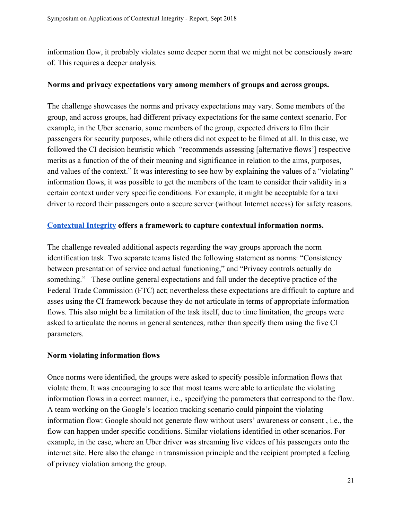information flow, it probably violates some deeper norm that we might not be consciously aware of. This requires a deeper analysis.

#### **Norms and privacy expectations vary among members of groups and across groups.**

The challenge showcases the norms and privacy expectations may vary. Some members of the group, and across groups, had different privacy expectations for the same context scenario. For example, in the Uber scenario, some members of the group, expected drivers to film their passengers for security purposes, while others did not expect to be filmed at all. In this case, we followed the CI decision heuristic which "recommends assessing [alternative flows'] respective merits as a function of the of their meaning and significance in relation to the aims, purposes, and values of the context." It was interesting to see how by explaining the values of a "violating" information flows, it was possible to get the members of the team to consider their validity in a certain context under very specific conditions. For example, it might be acceptable for a taxi driver to record their passengers onto a secure server (without Internet access) for safety reasons.

#### **[Contextual Integrity](https://www.amazon.com/Privacy-Context-Technology-Policy-Integrity/dp/0804752370) offers a framework to capture contextual information norms.**

The challenge revealed additional aspects regarding the way groups approach the norm identification task. Two separate teams listed the following statement as norms: "Consistency between presentation of service and actual functioning," and "Privacy controls actually do something." These outline general expectations and fall under the deceptive practice of the Federal Trade Commission (FTC) act; nevertheless these expectations are difficult to capture and asses using the CI framework because they do not articulate in terms of appropriate information flows. This also might be a limitation of the task itself, due to time limitation, the groups were asked to articulate the norms in general sentences, rather than specify them using the five CI parameters.

#### **Norm violating information flows**

Once norms were identified, the groups were asked to specify possible information flows that violate them. It was encouraging to see that most teams were able to articulate the violating information flows in a correct manner, i.e., specifying the parameters that correspond to the flow. A team working on the Google's location tracking scenario could pinpoint the violating information flow: Google should not generate flow without users' awareness or consent , i.e., the flow can happen under specific conditions. Similar violations identified in other scenarios. For example, in the case, where an Uber driver was streaming live videos of his passengers onto the internet site. Here also the change in transmission principle and the recipient prompted a feeling of privacy violation among the group.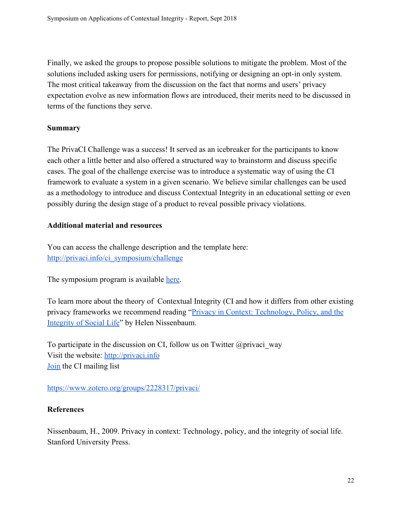Finally, we asked the groups to propose possible solutions to mitigate the problem. Most of the solutions included asking users for permissions, notifying or designing an opt-in only system. The most critical takeaway from the discussion on the fact that norms and users' privacy expectation evolve as new information flows are introduced, their merits need to be discussed in terms of the functions they serve.

#### **Summary**

The PrivaCI Challenge was a success! It served as an icebreaker for the participants to know each other a little better and also offered a structured way to brainstorm and discuss specific cases. The goal of the challenge exercise was to introduce a systematic way of using the CI framework to evaluate a system in a given scenario. We believe similar challenges can be used as a methodology to introduce and discuss Contextual Integrity in an educational setting or even possibly during the design stage of a product to reveal possible privacy violations.

#### **Additional material and resources**

You can access the challenge description and the template here: [http://privaci.info/ci\\_symposium/challenge](http://privaci.info/ci_symposium/challenge)

The symposium program is available [here.](http://privaci.info/ci_symposium/program.html)

To learn more about the theory of Contextual Integrity (CI and how it differs from other existing privacy frameworks we recommend reading ["Privacy in Context: Technology, Policy, and the](https://www.amazon.com/Privacy-Context-Technology-Policy-Integrity/dp/0804752370) [Integrity of Social Life](https://www.amazon.com/Privacy-Context-Technology-Policy-Integrity/dp/0804752370)" by Helen Nissenbaum.

To participate in the discussion on CI, follow us on Twitter  $\omega$  privaci way Visit the website: [http://privaci.info](http://privaci.info/) [Join](https://groups.google.com/forum/embed/?place=forum/privaci-research#!forum/privaci-research) the CI mailing list

<https://www.zotero.org/groups/2228317/privaci/>

#### **References**

Nissenbaum, H., 2009. Privacy in context: Technology, policy, and the integrity of social life. Stanford University Press.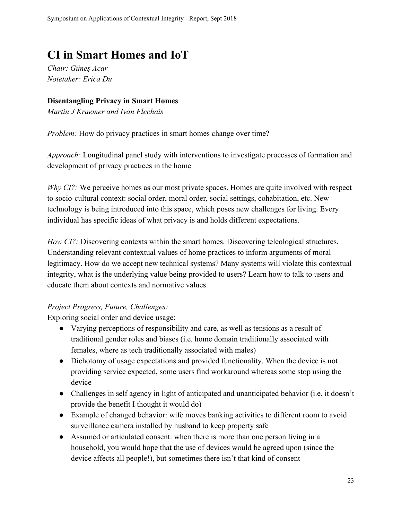## <span id="page-22-0"></span>**CI in Smart Homes and IoT**

*Chair: Güneş Acar Notetaker: Erica Du*

### <span id="page-22-1"></span>**Disentangling Privacy in Smart Homes**

*Martin J Kraemer and Ivan Flechais*

*Problem:* How do privacy practices in smart homes change over time?

*Approach:* Longitudinal panel study with interventions to investigate processes of formation and development of privacy practices in the home

*Why CI?*: We perceive homes as our most private spaces. Homes are quite involved with respect to socio-cultural context: social order, moral order, social settings, cohabitation, etc. New technology is being introduced into this space, which poses new challenges for living. Every individual has specific ideas of what privacy is and holds different expectations.

*How CI?:* Discovering contexts within the smart homes. Discovering teleological structures. Understanding relevant contextual values of home practices to inform arguments of moral legitimacy. How do we accept new technical systems? Many systems will violate this contextual integrity, what is the underlying value being provided to users? Learn how to talk to users and educate them about contexts and normative values.

## *Project Progress, Future, Challenges:*

Exploring social order and device usage:

- Varying perceptions of responsibility and care, as well as tensions as a result of traditional gender roles and biases (i.e. home domain traditionally associated with females, where as tech traditionally associated with males)
- Dichotomy of usage expectations and provided functionality. When the device is not providing service expected, some users find workaround whereas some stop using the device
- Challenges in self agency in light of anticipated and unanticipated behavior (i.e. it doesn't provide the benefit I thought it would do)
- Example of changed behavior: wife moves banking activities to different room to avoid surveillance camera installed by husband to keep property safe
- Assumed or articulated consent: when there is more than one person living in a household, you would hope that the use of devices would be agreed upon (since the device affects all people!), but sometimes there isn't that kind of consent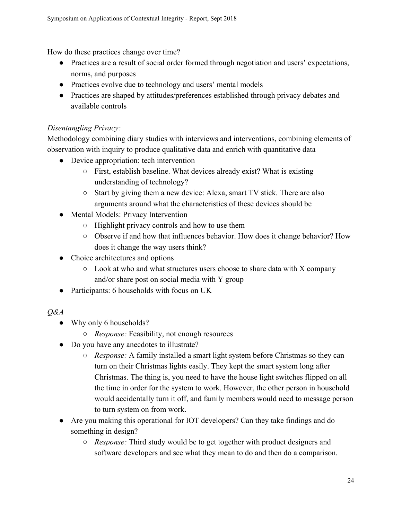How do these practices change over time?

- Practices are a result of social order formed through negotiation and users' expectations, norms, and purposes
- Practices evolve due to technology and users' mental models
- Practices are shaped by attitudes/preferences established through privacy debates and available controls

## *Disentangling Privacy:*

Methodology combining diary studies with interviews and interventions, combining elements of observation with inquiry to produce qualitative data and enrich with quantitative data

- Device appropriation: tech intervention
	- First, establish baseline. What devices already exist? What is existing understanding of technology?
	- Start by giving them a new device: Alexa, smart TV stick. There are also arguments around what the characteristics of these devices should be
- Mental Models: Privacy Intervention
	- Highlight privacy controls and how to use them
	- Observe if and how that influences behavior. How does it change behavior? How does it change the way users think?
- Choice architectures and options
	- $\circ$  Look at who and what structures users choose to share data with X company and/or share post on social media with Y group
- Participants: 6 households with focus on UK
- *Q&A*
	- Why only 6 households?
		- *Response:* Feasibility, not enough resources
	- Do you have any anecdotes to illustrate?
		- *Response:* A family installed a smart light system before Christmas so they can turn on their Christmas lights easily. They kept the smart system long after Christmas. The thing is, you need to have the house light switches flipped on all the time in order for the system to work. However, the other person in household would accidentally turn it off, and family members would need to message person to turn system on from work.
	- Are you making this operational for IOT developers? Can they take findings and do something in design?
		- *Response:* Third study would be to get together with product designers and software developers and see what they mean to do and then do a comparison.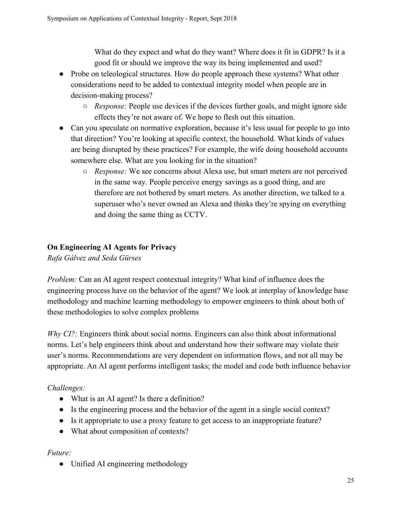What do they expect and what do they want? Where does it fit in GDPR? Is it a good fit or should we improve the way its being implemented and used?

- Probe on teleological structures. How do people approach these systems? What other considerations need to be added to contextual integrity model when people are in decision-making process?
	- *Response:* People use devices if the devices further goals, and might ignore side effects they're not aware of. We hope to flesh out this situation.
- Can you speculate on normative exploration, because it's less usual for people to go into that direction? You're looking at specific context, the household. What kinds of values are being disrupted by these practices? For example, the wife doing household accounts somewhere else. What are you looking for in the situation?
	- *Response:* We see concerns about Alexa use, but smart meters are not perceived in the same way. People perceive energy savings as a good thing, and are therefore are not bothered by smart meters. As another direction, we talked to a superuser who's never owned an Alexa and thinks they're spying on everything and doing the same thing as CCTV.

## <span id="page-24-0"></span>**On Engineering AI Agents for Privacy**

*Rafa Gálvez and Seda Gürses*

*Problem:* Can an AI agent respect contextual integrity? What kind of influence does the engineering process have on the behavior of the agent? We look at interplay of knowledge base methodology and machine learning methodology to empower engineers to think about both of these methodologies to solve complex problems

*Why CI?*: Engineers think about social norms. Engineers can also think about informational norms. Let's help engineers think about and understand how their software may violate their user's norms. Recommendations are very dependent on information flows, and not all may be appropriate. An AI agent performs intelligent tasks; the model and code both influence behavior

## *Challenges:*

- What is an AI agent? Is there a definition?
- Is the engineering process and the behavior of the agent in a single social context?
- Is it appropriate to use a proxy feature to get access to an inappropriate feature?
- What about composition of contexts?

## *Future:*

• Unified AI engineering methodology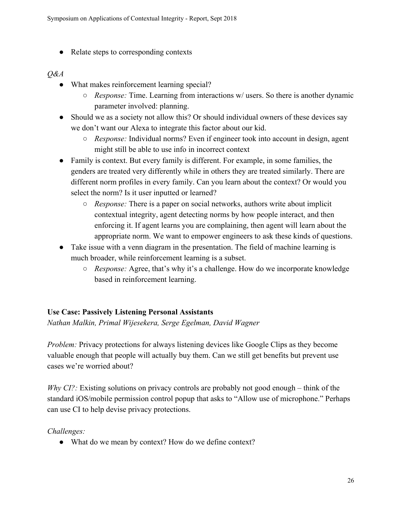● Relate steps to corresponding contexts

### *Q&A*

- What makes reinforcement learning special?
	- *Response:* Time. Learning from interactions w/ users. So there is another dynamic parameter involved: planning.
- Should we as a society not allow this? Or should individual owners of these devices say we don't want our Alexa to integrate this factor about our kid.
	- *Response:* Individual norms? Even if engineer took into account in design, agent might still be able to use info in incorrect context
- Family is context. But every family is different. For example, in some families, the genders are treated very differently while in others they are treated similarly. There are different norm profiles in every family. Can you learn about the context? Or would you select the norm? Is it user inputted or learned?
	- *Response:* There is a paper on social networks, authors write about implicit contextual integrity, agent detecting norms by how people interact, and then enforcing it. If agent learns you are complaining, then agent will learn about the appropriate norm. We want to empower engineers to ask these kinds of questions.
- Take issue with a venn diagram in the presentation. The field of machine learning is much broader, while reinforcement learning is a subset.
	- *Response:* Agree, that's why it's a challenge. How do we incorporate knowledge based in reinforcement learning.

## <span id="page-25-0"></span>**Use Case: Passively Listening Personal Assistants**

*Nathan Malkin, Primal Wijesekera, Serge Egelman, David Wagner*

*Problem:* Privacy protections for always listening devices like Google Clips as they become valuable enough that people will actually buy them. Can we still get benefits but prevent use cases we're worried about?

*Why CI?*: Existing solutions on privacy controls are probably not good enough – think of the standard iOS/mobile permission control popup that asks to "Allow use of microphone." Perhaps can use CI to help devise privacy protections.

*Challenges:*

• What do we mean by context? How do we define context?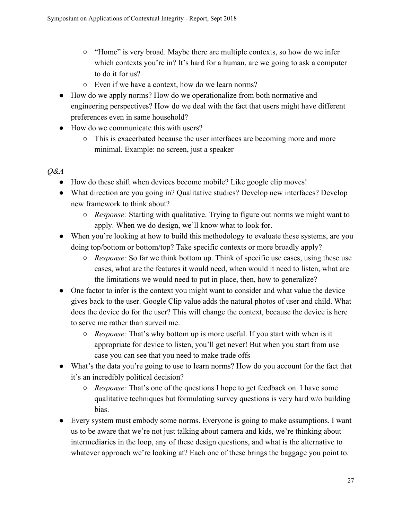- "Home" is very broad. Maybe there are multiple contexts, so how do we infer which contexts you're in? It's hard for a human, are we going to ask a computer to do it for us?
- Even if we have a context, how do we learn norms?
- How do we apply norms? How do we operationalize from both normative and engineering perspectives? How do we deal with the fact that users might have different preferences even in same household?
- How do we communicate this with users?
	- This is exacerbated because the user interfaces are becoming more and more minimal. Example: no screen, just a speaker

#### *Q&A*

- How do these shift when devices become mobile? Like google clip moves!
- What direction are you going in? Qualitative studies? Develop new interfaces? Develop new framework to think about?
	- *Response:* Starting with qualitative. Trying to figure out norms we might want to apply. When we do design, we'll know what to look for.
- When you're looking at how to build this methodology to evaluate these systems, are you doing top/bottom or bottom/top? Take specific contexts or more broadly apply?
	- *Response:* So far we think bottom up. Think of specific use cases, using these use cases, what are the features it would need, when would it need to listen, what are the limitations we would need to put in place, then, how to generalize?
- One factor to infer is the context you might want to consider and what value the device gives back to the user. Google Clip value adds the natural photos of user and child. What does the device do for the user? This will change the context, because the device is here to serve me rather than surveil me.
	- *Response:* That's why bottom up is more useful. If you start with when is it appropriate for device to listen, you'll get never! But when you start from use case you can see that you need to make trade offs
- What's the data you're going to use to learn norms? How do you account for the fact that it's an incredibly political decision?
	- *Response:* That's one of the questions I hope to get feedback on. I have some qualitative techniques but formulating survey questions is very hard w/o building bias.
- Every system must embody some norms. Everyone is going to make assumptions. I want us to be aware that we're not just talking about camera and kids, we're thinking about intermediaries in the loop, any of these design questions, and what is the alternative to whatever approach we're looking at? Each one of these brings the baggage you point to.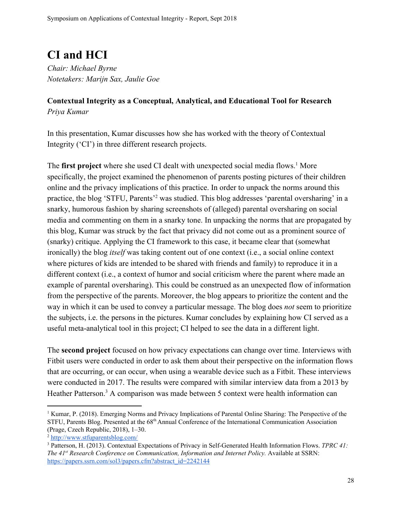## <span id="page-27-0"></span>**CI and HCI**

*Chair: Michael Byrne Notetakers: Marijn Sax, Jaulie Goe*

## <span id="page-27-1"></span>**Contextual Integrity as a Conceptual, Analytical, and Educational Tool for Research** *Priya Kumar*

In this presentation, Kumar discusses how she has worked with the theory of Contextual Integrity ('CI') in three different research projects.

The **first project** where she used CI dealt with unexpected social media flows.<sup>1</sup> More specifically, the project examined the phenomenon of parents posting pictures of their children online and the privacy implications of this practice. In order to unpack the norms around this practice, the blog 'STFU, Parents'<sup>2</sup> was studied. This blog addresses 'parental oversharing' in a snarky, humorous fashion by sharing screenshots of (alleged) parental oversharing on social media and commenting on them in a snarky tone. In unpacking the norms that are propagated by this blog, Kumar was struck by the fact that privacy did not come out as a prominent source of (snarky) critique. Applying the CI framework to this case, it became clear that (somewhat ironically) the blog *itself* was taking content out of one context (i.e., a social online context where pictures of kids are intended to be shared with friends and family) to reproduce it in a different context (i.e., a context of humor and social criticism where the parent where made an example of parental oversharing). This could be construed as an unexpected flow of information from the perspective of the parents. Moreover, the blog appears to prioritize the content and the way in which it can be used to convey a particular message. The blog does *not* seem to prioritize the subjects, i.e. the persons in the pictures. Kumar concludes by explaining how CI served as a useful meta-analytical tool in this project; CI helped to see the data in a different light.

The **second project** focused on how privacy expectations can change over time. Interviews with Fitbit users were conducted in order to ask them about their perspective on the information flows that are occurring, or can occur, when using a wearable device such as a Fitbit. These interviews were conducted in 2017. The results were compared with similar interview data from a 2013 by Heather Patterson.<sup>3</sup> A comparison was made between 5 context were health information can

<sup>1</sup> Kumar, P. (2018). Emerging Norms and Privacy Implications of Parental Online Sharing: The Perspective of the STFU, Parents Blog. Presented at the 68<sup>th</sup> Annual Conference of the International Communication Association (Prage, Czech Republic, 2018), 1–30.

<sup>2</sup> <http://www.stfuparentsblog.com/>

<sup>3</sup> Patterson, H. (2013). Contextual Expectations of Privacy in Self-Generated Health Information Flows. *TPRC 41: The 41 st Research Conference on Communication, Information and Internet Policy.* Available at SSRN: [https://papers.ssrn.com/sol3/papers.cfm?abstract\\_id=2242144](https://papers.ssrn.com/sol3/papers.cfm?abstract_id=2242144)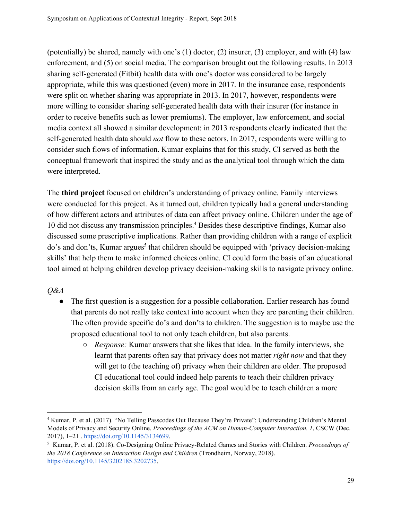(potentially) be shared, namely with one's (1) doctor, (2) insurer, (3) employer, and with (4) law enforcement, and (5) on social media. The comparison brought out the following results. In 2013 sharing self-generated (Fitbit) health data with one's doctor was considered to be largely appropriate, while this was questioned (even) more in 2017. In the insurance case, respondents were split on whether sharing was appropriate in 2013. In 2017, however, respondents were more willing to consider sharing self-generated health data with their insurer (for instance in order to receive benefits such as lower premiums). The employer, law enforcement, and social media context all showed a similar development: in 2013 respondents clearly indicated that the self-generated health data should *not* flow to these actors. In 2017, respondents were willing to consider such flows of information. Kumar explains that for this study, CI served as both the conceptual framework that inspired the study and as the analytical tool through which the data were interpreted.

The **third project** focused on children's understanding of privacy online. Family interviews were conducted for this project. As it turned out, children typically had a general understanding of how different actors and attributes of data can affect privacy online. Children under the age of 10 did not discuss any transmission principles.<sup>4</sup> Besides these descriptive findings, Kumar also discussed some prescriptive implications. Rather than providing children with a range of explicit do's and don'ts, Kumar argues<sup>5</sup> that children should be equipped with 'privacy decision-making skills' that help them to make informed choices online. CI could form the basis of an educational tool aimed at helping children develop privacy decision-making skills to navigate privacy online.

*Q&A*

- The first question is a suggestion for a possible collaboration. Earlier research has found that parents do not really take context into account when they are parenting their children. The often provide specific do's and don'ts to children. The suggestion is to maybe use the proposed educational tool to not only teach children, but also parents.
	- *Response:* Kumar answers that she likes that idea. In the family interviews, she learnt that parents often say that privacy does not matter *right now* and that they will get to (the teaching of) privacy when their children are older. The proposed CI educational tool could indeed help parents to teach their children privacy decision skills from an early age. The goal would be to teach children a more

<sup>4</sup> Kumar, P. et al. (2017). "No Telling Passcodes Out Because They're Private": Understanding Children's Mental Models of Privacy and Security Online. *Proceedings of the ACM on Human-Computer Interaction. 1*, CSCW (Dec. 2017), 1–21 [.](https://doi.org/10.1145/3134699) <https://doi.org/10.1145/3134699>.

<sup>5</sup> Kumar, P. et al. (2018). Co-Designing Online Privacy-Related Games and Stories with Children. *Proceedings of the 2018 Conference on Interaction Design and Children* (Trondheim, Norway, 2018). [https://doi.org/10.1145/3202185.3202735.](https://doi.org/10.1145/3202185.3202735)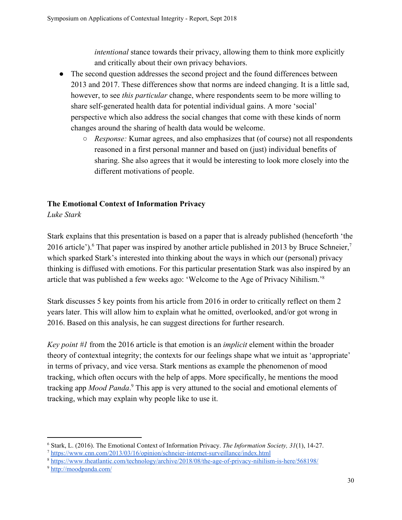*intentional* stance towards their privacy, allowing them to think more explicitly and critically about their own privacy behaviors.

- The second question addresses the second project and the found differences between 2013 and 2017. These differences show that norms are indeed changing. It is a little sad, however, to see *this particular* change, where respondents seem to be more willing to share self-generated health data for potential individual gains. A more 'social' perspective which also address the social changes that come with these kinds of norm changes around the sharing of health data would be welcome.
	- *Response:* Kumar agrees, and also emphasizes that (of course) not all respondents reasoned in a first personal manner and based on (just) individual benefits of sharing. She also agrees that it would be interesting to look more closely into the different motivations of people.

## <span id="page-29-0"></span>**The Emotional Context of Information Privacy**

*Luke Stark*

Stark explains that this presentation is based on a paper that is already published (henceforth 'the 2016 article'). <sup>6</sup> That paper was inspired by another article published in 2013 by Bruce Schneier,<sup>7</sup> which sparked Stark's interested into thinking about the ways in which our (personal) privacy thinking is diffused with emotions. For this particular presentation Stark was also inspired by an article that was published a few weeks ago: 'Welcome to the Age of Privacy Nihilism.'<sup>8</sup>

Stark discusses 5 key points from his article from 2016 in order to critically reflect on them 2 years later. This will allow him to explain what he omitted, overlooked, and/or got wrong in 2016. Based on this analysis, he can suggest directions for further research.

*Key point #1* from the 2016 article is that emotion is an *implicit* element within the broader theory of contextual integrity; the contexts for our feelings shape what we intuit as 'appropriate' in terms of privacy, and vice versa. Stark mentions as example the phenomenon of mood tracking, which often occurs with the help of apps. More specifically, he mentions the mood tracking app *Mood Panda*.<sup>9</sup> This app is very attuned to the social and emotional elements of tracking, which may explain why people like to use it.

<sup>6</sup> Stark, L. (2016). The Emotional Context of Information Privacy. *The Information Society, 31*(1), 14-27.

<sup>7</sup> <https://www.cnn.com/2013/03/16/opinion/schneier-internet-surveillance/index.html>

<sup>8</sup> <https://www.theatlantic.com/technology/archive/2018/08/the-age-of-privacy-nihilism-is-here/568198/>

<sup>9</sup> <http://moodpanda.com/>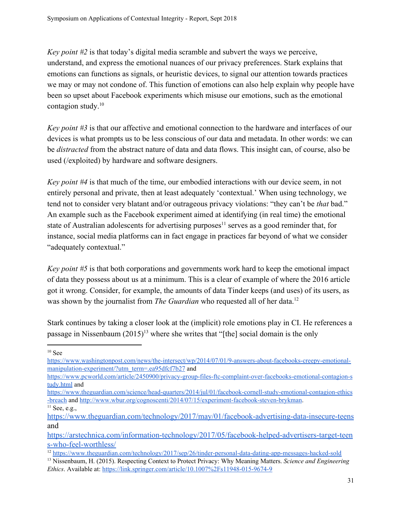*Key point #2* is that today's digital media scramble and subvert the ways we perceive, understand, and express the emotional nuances of our privacy preferences. Stark explains that emotions can functions as signals, or heuristic devices, to signal our attention towards practices we may or may not condone of. This function of emotions can also help explain why people have been so upset about Facebook experiments which misuse our emotions, such as the emotional contagion study.<sup>10</sup>

*Key point #3* is that our affective and emotional connection to the hardware and interfaces of our devices is what prompts us to be less conscious of our data and metadata. In other words: we can be *distracted* from the abstract nature of data and data flows. This insight can, of course, also be used (/exploited) by hardware and software designers.

*Key point #4* is that much of the time, our embodied interactions with our device seem, in not entirely personal and private, then at least adequately 'contextual.' When using technology, we tend not to consider very blatant and/or outrageous privacy violations: "they can't be *that* bad." An example such as the Facebook experiment aimed at identifying (in real time) the emotional state of Australian adolescents for advertising purposes<sup>11</sup> serves as a good reminder that, for instance, social media platforms can in fact engage in practices far beyond of what we consider "adequately contextual."

*Key point #5* is that both corporations and governments work hard to keep the emotional impact of data they possess about us at a minimum. This is a clear of example of where the 2016 article got it wrong. Consider, for example, the amounts of data Tinder keeps (and uses) of its users, as was shown by the journalist from *The Guardian* who requested all of her data.<sup>12</sup>

Stark continues by taking a closer look at the (implicit) role emotions play in CI. He references a passage in Nissenbaum  $(2015)^{13}$  where she writes that "[the] social domain is the only

 $10$  See

[https://www.washingtonpost.com/news/the-intersect/wp/2014/07/01/9-answers-about-facebooks-creepy-emotional](https://www.washingtonpost.com/news/the-intersect/wp/2014/07/01/9-answers-about-facebooks-creepy-emotional-manipulation-experiment/?utm_term=.ea95dfcf7b27)[manipulation-experiment/?utm\\_term=.ea95dfcf7b27](https://www.washingtonpost.com/news/the-intersect/wp/2014/07/01/9-answers-about-facebooks-creepy-emotional-manipulation-experiment/?utm_term=.ea95dfcf7b27) an[d](https://www.pcworld.com/article/2450900/privacy-group-files-ftc-complaint-over-facebooks-emotional-contagion-study.html)

[https://www.pcworld.com/article/2450900/privacy-group-files-ftc-complaint-over-facebooks-emotional-contagion-s](https://www.pcworld.com/article/2450900/privacy-group-files-ftc-complaint-over-facebooks-emotional-contagion-study.html) [tudy.html](https://www.pcworld.com/article/2450900/privacy-group-files-ftc-complaint-over-facebooks-emotional-contagion-study.html) and

[https://www.theguardian.com/science/head-quarters/2014/jul/01/facebook-cornell-study-emotional-contagion-ethics](https://www.theguardian.com/science/head-quarters/2014/jul/01/facebook-cornell-study-emotional-contagion-ethics-breach) [-breach](https://www.theguardian.com/science/head-quarters/2014/jul/01/facebook-cornell-study-emotional-contagion-ethics-breach) and <http://www.wbur.org/cognoscenti/2014/07/15/experiment-facebook-steven-brykman>.

 $11$  See, e.g.,

<https://www.theguardian.com/technology/2017/may/01/facebook-advertising-data-insecure-teens> and

[https://arstechnica.com/information-technology/2017/05/facebook-helped-advertisers-target-teen](https://arstechnica.com/information-technology/2017/05/facebook-helped-advertisers-target-teens-who-feel-worthless/) [s-who-feel-worthless/](https://arstechnica.com/information-technology/2017/05/facebook-helped-advertisers-target-teens-who-feel-worthless/)

<sup>12</sup> <https://www.theguardian.com/technology/2017/sep/26/tinder-personal-data-dating-app-messages-hacked-sold>

<sup>13</sup> Nissenbaum, H. (2015). Respecting Context to Protect Privacy: Why Meaning Matters. *Science and Engineering Ethics*. Available at[:](https://link.springer.com/article/10.1007%2Fs11948-015-9674-9) <https://link.springer.com/article/10.1007%2Fs11948-015-9674-9>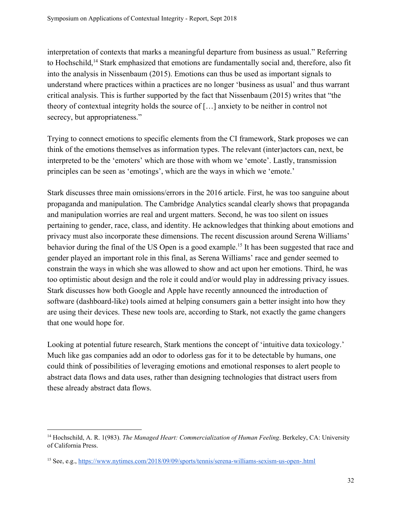interpretation of contexts that marks a meaningful departure from business as usual." Referring to Hochschild,<sup>14</sup> Stark emphasized that emotions are fundamentally social and, therefore, also fit into the analysis in Nissenbaum (2015). Emotions can thus be used as important signals to understand where practices within a practices are no longer 'business as usual' and thus warrant critical analysis. This is further supported by the fact that Nissenbaum (2015) writes that "the theory of contextual integrity holds the source of […] anxiety to be neither in control not secrecy, but appropriateness."

Trying to connect emotions to specific elements from the CI framework, Stark proposes we can think of the emotions themselves as information types. The relevant (inter)actors can, next, be interpreted to be the 'emoters' which are those with whom we 'emote'. Lastly, transmission principles can be seen as 'emotings', which are the ways in which we 'emote.'

Stark discusses three main omissions/errors in the 2016 article. First, he was too sanguine about propaganda and manipulation. The Cambridge Analytics scandal clearly shows that propaganda and manipulation worries are real and urgent matters. Second, he was too silent on issues pertaining to gender, race, class, and identity. He acknowledges that thinking about emotions and privacy must also incorporate these dimensions. The recent discussion around Serena Williams' behavior during the final of the US Open is a good example.<sup>15</sup> It has been suggested that race and gender played an important role in this final, as Serena Williams' race and gender seemed to constrain the ways in which she was allowed to show and act upon her emotions. Third, he was too optimistic about design and the role it could and/or would play in addressing privacy issues. Stark discusses how both Google and Apple have recently announced the introduction of software (dashboard-like) tools aimed at helping consumers gain a better insight into how they are using their devices. These new tools are, according to Stark, not exactly the game changers that one would hope for.

Looking at potential future research, Stark mentions the concept of 'intuitive data toxicology.' Much like gas companies add an odor to odorless gas for it to be detectable by humans, one could think of possibilities of leveraging emotions and emotional responses to alert people to abstract data flows and data uses, rather than designing technologies that distract users from these already abstract data flows.

<sup>14</sup> Hochschild, A. R. 1(983). *The Managed Heart: Commercialization of Human Feeling*. Berkeley, CA: University of California Press.

<sup>15</sup> See, e.g., <https://www.nytimes.com/2018/09/09/sports/tennis/serena-williams-sexism-us-open-.html>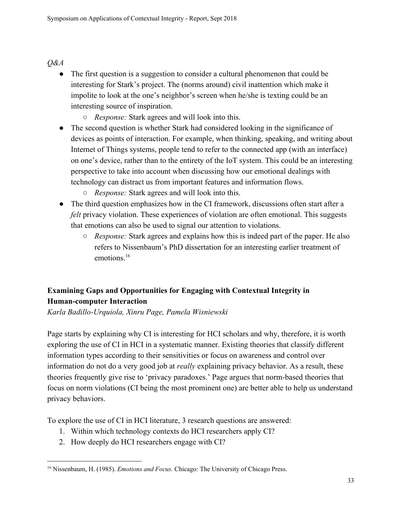## *Q&A*

- The first question is a suggestion to consider a cultural phenomenon that could be interesting for Stark's project. The (norms around) civil inattention which make it impolite to look at the one's neighbor's screen when he/she is texting could be an interesting source of inspiration.
	- *Response:* Stark agrees and will look into this.
- The second question is whether Stark had considered looking in the significance of devices as points of interaction. For example, when thinking, speaking, and writing about Internet of Things systems, people tend to refer to the connected app (with an interface) on one's device, rather than to the entirety of the IoT system. This could be an interesting perspective to take into account when discussing how our emotional dealings with technology can distract us from important features and information flows.
	- *Response:* Stark agrees and will look into this.
- The third question emphasizes how in the CI framework, discussions often start after a *felt* privacy violation. These experiences of violation are often emotional. This suggests that emotions can also be used to signal our attention to violations.
	- *Response:* Stark agrees and explains how this is indeed part of the paper. He also refers to Nissenbaum's PhD dissertation for an interesting earlier treatment of emotions<sup>16</sup>

## <span id="page-32-0"></span>**Examining Gaps and Opportunities for Engaging with Contextual Integrity in Human-computer Interaction**

*Karla Badillo-Urquiola, Xinru Page, Pamela Wisniewski*

Page starts by explaining why CI is interesting for HCI scholars and why, therefore, it is worth exploring the use of CI in HCI in a systematic manner. Existing theories that classify different information types according to their sensitivities or focus on awareness and control over information do not do a very good job at *really* explaining privacy behavior. As a result, these theories frequently give rise to 'privacy paradoxes.' Page argues that norm-based theories that focus on norm violations (CI being the most prominent one) are better able to help us understand privacy behaviors.

To explore the use of CI in HCI literature, 3 research questions are answered:

- 1. Within which technology contexts do HCI researchers apply CI?
- 2. How deeply do HCI researchers engage with CI?

<sup>16</sup> Nissenbaum, H. (1985). *Emotions and Focus.* Chicago: The University of Chicago Press.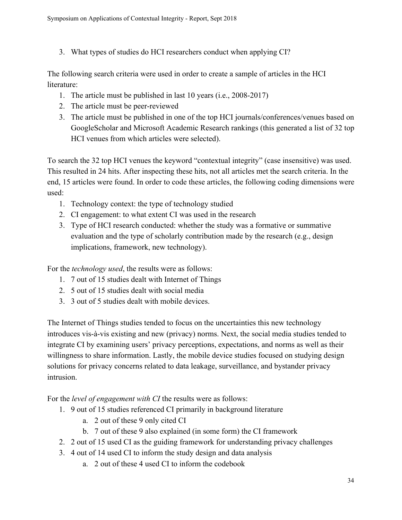3. What types of studies do HCI researchers conduct when applying CI?

The following search criteria were used in order to create a sample of articles in the HCI literature:

- 1. The article must be published in last 10 years (i.e., 2008-2017)
- 2. The article must be peer-reviewed
- 3. The article must be published in one of the top HCI journals/conferences/venues based on GoogleScholar and Microsoft Academic Research rankings (this generated a list of 32 top HCI venues from which articles were selected).

To search the 32 top HCI venues the keyword "contextual integrity" (case insensitive) was used. This resulted in 24 hits. After inspecting these hits, not all articles met the search criteria. In the end, 15 articles were found. In order to code these articles, the following coding dimensions were used:

- 1. Technology context: the type of technology studied
- 2. CI engagement: to what extent CI was used in the research
- 3. Type of HCI research conducted: whether the study was a formative or summative evaluation and the type of scholarly contribution made by the research (e.g., design implications, framework, new technology).

For the *technology used*, the results were as follows:

- 1. 7 out of 15 studies dealt with Internet of Things
- 2. 5 out of 15 studies dealt with social media
- 3. 3 out of 5 studies dealt with mobile devices.

The Internet of Things studies tended to focus on the uncertainties this new technology introduces vis-à-vis existing and new (privacy) norms. Next, the social media studies tended to integrate CI by examining users' privacy perceptions, expectations, and norms as well as their willingness to share information. Lastly, the mobile device studies focused on studying design solutions for privacy concerns related to data leakage, surveillance, and bystander privacy intrusion.

For the *level of engagement with CI* the results were as follows:

- 1. 9 out of 15 studies referenced CI primarily in background literature
	- a. 2 out of these 9 only cited CI
	- b. 7 out of these 9 also explained (in some form) the CI framework
- 2. 2 out of 15 used CI as the guiding framework for understanding privacy challenges
- 3. 4 out of 14 used CI to inform the study design and data analysis
	- a. 2 out of these 4 used CI to inform the codebook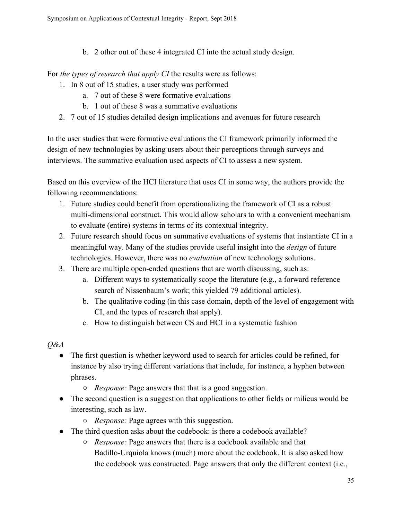b. 2 other out of these 4 integrated CI into the actual study design.

For *the types of research that apply CI* the results were as follows:

- 1. In 8 out of 15 studies, a user study was performed
	- a. 7 out of these 8 were formative evaluations
	- b. 1 out of these 8 was a summative evaluations
- 2. 7 out of 15 studies detailed design implications and avenues for future research

In the user studies that were formative evaluations the CI framework primarily informed the design of new technologies by asking users about their perceptions through surveys and interviews. The summative evaluation used aspects of CI to assess a new system.

Based on this overview of the HCI literature that uses CI in some way, the authors provide the following recommendations:

- 1. Future studies could benefit from operationalizing the framework of CI as a robust multi-dimensional construct. This would allow scholars to with a convenient mechanism to evaluate (entire) systems in terms of its contextual integrity.
- 2. Future research should focus on summative evaluations of systems that instantiate CI in a meaningful way. Many of the studies provide useful insight into the *design* of future technologies. However, there was no *evaluation* of new technology solutions.
- 3. There are multiple open-ended questions that are worth discussing, such as:
	- a. Different ways to systematically scope the literature (e.g., a forward reference search of Nissenbaum's work; this yielded 79 additional articles).
	- b. The qualitative coding (in this case domain, depth of the level of engagement with CI, and the types of research that apply).
	- c. How to distinguish between CS and HCI in a systematic fashion

## *Q&A*

- The first question is whether keyword used to search for articles could be refined, for instance by also trying different variations that include, for instance, a hyphen between phrases.
	- *Response:* Page answers that that is a good suggestion.
- The second question is a suggestion that applications to other fields or milieus would be interesting, such as law.
	- *Response:* Page agrees with this suggestion.
- The third question asks about the codebook: is there a codebook available?
	- *Response:* Page answers that there is a codebook available and that Badillo-Urquiola knows (much) more about the codebook. It is also asked how the codebook was constructed. Page answers that only the different context (i.e.,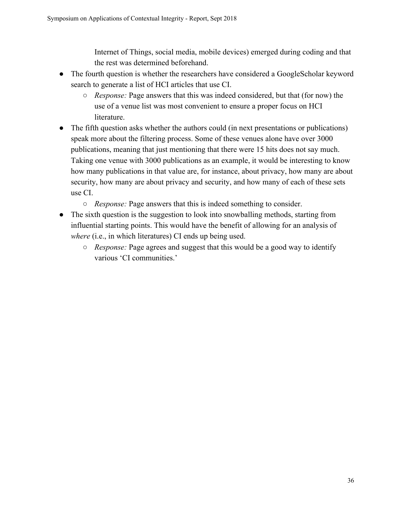Internet of Things, social media, mobile devices) emerged during coding and that the rest was determined beforehand.

- The fourth question is whether the researchers have considered a GoogleScholar keyword search to generate a list of HCI articles that use CI.
	- *Response:* Page answers that this was indeed considered, but that (for now) the use of a venue list was most convenient to ensure a proper focus on HCI literature.
- The fifth question asks whether the authors could (in next presentations or publications) speak more about the filtering process. Some of these venues alone have over 3000 publications, meaning that just mentioning that there were 15 hits does not say much. Taking one venue with 3000 publications as an example, it would be interesting to know how many publications in that value are, for instance, about privacy, how many are about security, how many are about privacy and security, and how many of each of these sets use CI.
	- *Response:* Page answers that this is indeed something to consider.
- The sixth question is the suggestion to look into snowballing methods, starting from influential starting points. This would have the benefit of allowing for an analysis of *where* (i.e., in which literatures) CI ends up being used.
	- *Response:* Page agrees and suggest that this would be a good way to identify various 'CI communities.'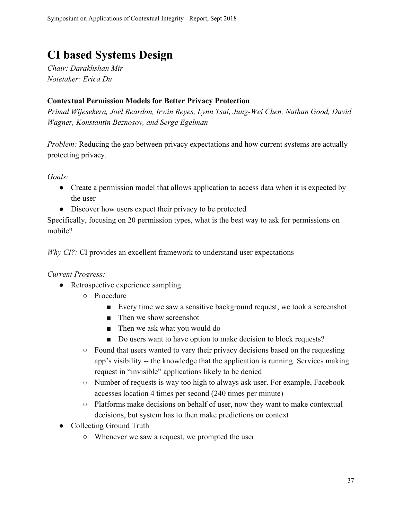## <span id="page-36-0"></span>**CI based Systems Design**

*Chair: Darakhshan Mir Notetaker: Erica Du*

### <span id="page-36-1"></span>**Contextual Permission Models for Better Privacy Protection**

*Primal Wijesekera, Joel Reardon, Irwin Reyes, Lynn Tsai, Jung-Wei Chen, Nathan Good, David Wagner, Konstantin Beznosov, and Serge Egelman*

*Problem:* Reducing the gap between privacy expectations and how current systems are actually protecting privacy.

*Goals:*

- Create a permission model that allows application to access data when it is expected by the user
- Discover how users expect their privacy to be protected

Specifically, focusing on 20 permission types, what is the best way to ask for permissions on mobile?

*Why CI?:* CI provides an excellent framework to understand user expectations

#### *Current Progress:*

- Retrospective experience sampling
	- Procedure
		- Every time we saw a sensitive background request, we took a screenshot
		- Then we show screenshot
		- Then we ask what you would do
		- Do users want to have option to make decision to block requests?
	- Found that users wanted to vary their privacy decisions based on the requesting app's visibility -- the knowledge that the application is running. Services making request in "invisible" applications likely to be denied
	- Number of requests is way too high to always ask user. For example, Facebook accesses location 4 times per second (240 times per minute)
	- Platforms make decisions on behalf of user, now they want to make contextual decisions, but system has to then make predictions on context
- Collecting Ground Truth
	- Whenever we saw a request, we prompted the user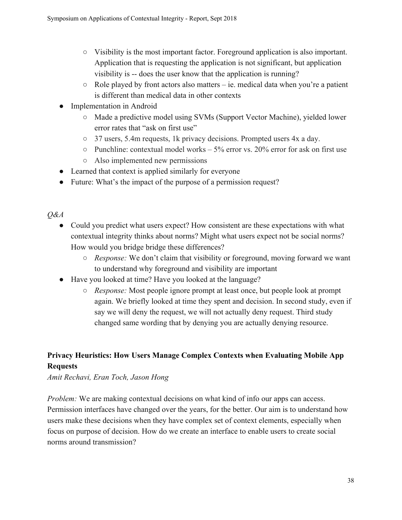- Visibility is the most important factor. Foreground application is also important. Application that is requesting the application is not significant, but application visibility is -- does the user know that the application is running?
- $\circ$  Role played by front actors also matters ie. medical data when you're a patient is different than medical data in other contexts
- Implementation in Android
	- Made a predictive model using SVMs (Support Vector Machine), yielded lower error rates that "ask on first use"
	- 37 users, 5.4m requests, 1k privacy decisions. Prompted users 4x a day.
	- $\circ$  Punchline: contextual model works 5% error vs. 20% error for ask on first use
	- Also implemented new permissions
- Learned that context is applied similarly for everyone
- Future: What's the impact of the purpose of a permission request?

*Q&A*

- Could you predict what users expect? How consistent are these expectations with what contextual integrity thinks about norms? Might what users expect not be social norms? How would you bridge bridge these differences?
	- *Response:* We don't claim that visibility or foreground, moving forward we want to understand why foreground and visibility are important
- Have you looked at time? Have you looked at the language?
	- *Response:* Most people ignore prompt at least once, but people look at prompt again. We briefly looked at time they spent and decision. In second study, even if say we will deny the request, we will not actually deny request. Third study changed same wording that by denying you are actually denying resource.

## <span id="page-37-0"></span>**Privacy Heuristics: How Users Manage Complex Contexts when Evaluating Mobile App Requests**

## *Amit Rechavi, Eran Toch, Jason Hong*

*Problem:* We are making contextual decisions on what kind of info our apps can access. Permission interfaces have changed over the years, for the better. Our aim is to understand how users make these decisions when they have complex set of context elements, especially when focus on purpose of decision. How do we create an interface to enable users to create social norms around transmission?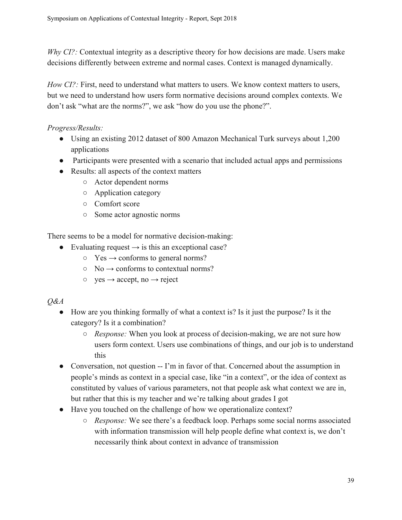*Why CI?:* Contextual integrity as a descriptive theory for how decisions are made. Users make decisions differently between extreme and normal cases. Context is managed dynamically.

*How CI?:* First, need to understand what matters to users. We know context matters to users, but we need to understand how users form normative decisions around complex contexts. We don't ask "what are the norms?", we ask "how do you use the phone?".

*Progress/Results:*

- Using an existing 2012 dataset of 800 Amazon Mechanical Turk surveys about 1,200 applications
- Participants were presented with a scenario that included actual apps and permissions
- Results: all aspects of the context matters
	- Actor dependent norms
	- Application category
	- Comfort score
	- Some actor agnostic norms

There seems to be a model for normative decision-making:

- Evaluating request  $\rightarrow$  is this an exceptional case?
	- $\circ$  Yes  $\rightarrow$  conforms to general norms?
	- $\circ$  No  $\rightarrow$  conforms to contextual norms?
	- $\circ$  yes  $\rightarrow$  accept, no  $\rightarrow$  reject
- *Q&A*
	- How are you thinking formally of what a context is? Is it just the purpose? Is it the category? Is it a combination?
		- *Response:* When you look at process of decision-making, we are not sure how users form context. Users use combinations of things, and our job is to understand this
	- Conversation, not question -- I'm in favor of that. Concerned about the assumption in people's minds as context in a special case, like "in a context", or the idea of context as constituted by values of various parameters, not that people ask what context we are in, but rather that this is my teacher and we're talking about grades I got
	- Have you touched on the challenge of how we operationalize context?
		- *Response:* We see there's a feedback loop. Perhaps some social norms associated with information transmission will help people define what context is, we don't necessarily think about context in advance of transmission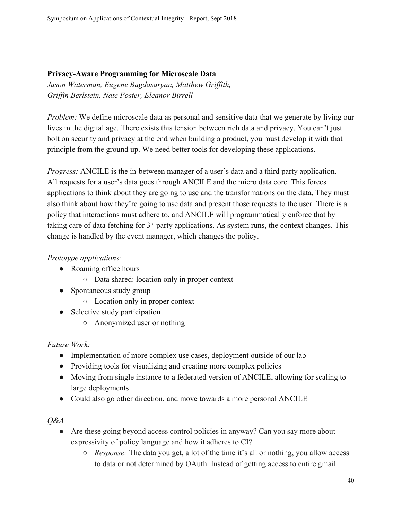## <span id="page-39-0"></span>**Privacy-Aware Programming for Microscale Data**

*Jason Waterman, Eugene Bagdasaryan, Matthew Griffith, Griffin Berlstein, Nate Foster, Eleanor Birrell*

*Problem:* We define microscale data as personal and sensitive data that we generate by living our lives in the digital age. There exists this tension between rich data and privacy. You can't just bolt on security and privacy at the end when building a product, you must develop it with that principle from the ground up. We need better tools for developing these applications.

*Progress:* ANCILE is the in-between manager of a user's data and a third party application. All requests for a user's data goes through ANCILE and the micro data core. This forces applications to think about they are going to use and the transformations on the data. They must also think about how they're going to use data and present those requests to the user. There is a policy that interactions must adhere to, and ANCILE will programmatically enforce that by taking care of data fetching for  $3<sup>rd</sup>$  party applications. As system runs, the context changes. This change is handled by the event manager, which changes the policy.

## *Prototype applications:*

- Roaming office hours
	- Data shared: location only in proper context
- Spontaneous study group
	- Location only in proper context
- Selective study participation
	- Anonymized user or nothing

## *Future Work:*

- Implementation of more complex use cases, deployment outside of our lab
- Providing tools for visualizing and creating more complex policies
- Moving from single instance to a federated version of ANCILE, allowing for scaling to large deployments
- Could also go other direction, and move towards a more personal ANCILE

#### *Q&A*

- Are these going beyond access control policies in anyway? Can you say more about expressivity of policy language and how it adheres to CI?
	- *Response:* The data you get, a lot of the time it's all or nothing, you allow access to data or not determined by OAuth. Instead of getting access to entire gmail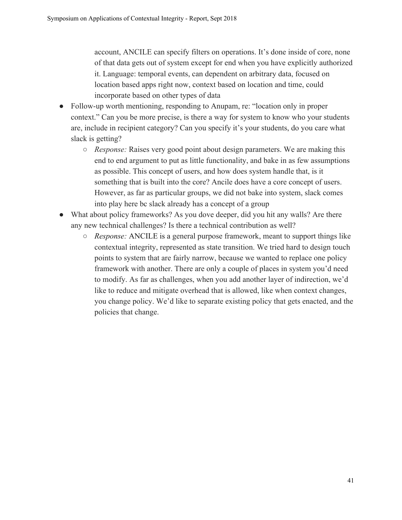account, ANCILE can specify filters on operations. It's done inside of core, none of that data gets out of system except for end when you have explicitly authorized it. Language: temporal events, can dependent on arbitrary data, focused on location based apps right now, context based on location and time, could incorporate based on other types of data

- Follow-up worth mentioning, responding to Anupam, re: "location only in proper context." Can you be more precise, is there a way for system to know who your students are, include in recipient category? Can you specify it's your students, do you care what slack is getting?
	- *Response:* Raises very good point about design parameters. We are making this end to end argument to put as little functionality, and bake in as few assumptions as possible. This concept of users, and how does system handle that, is it something that is built into the core? Ancile does have a core concept of users. However, as far as particular groups, we did not bake into system, slack comes into play here bc slack already has a concept of a group
- What about policy frameworks? As you dove deeper, did you hit any walls? Are there any new technical challenges? Is there a technical contribution as well?
	- *Response:* ANCILE is a general purpose framework, meant to support things like contextual integrity, represented as state transition. We tried hard to design touch points to system that are fairly narrow, because we wanted to replace one policy framework with another. There are only a couple of places in system you'd need to modify. As far as challenges, when you add another layer of indirection, we'd like to reduce and mitigate overhead that is allowed, like when context changes, you change policy. We'd like to separate existing policy that gets enacted, and the policies that change.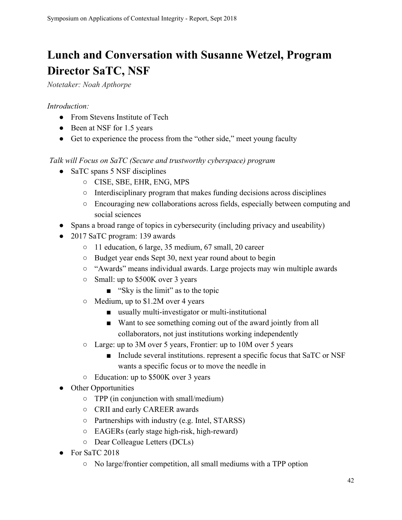## <span id="page-41-0"></span>**Lunch and Conversation with Susanne Wetzel, Program Director SaTC, NSF**

*Notetaker: Noah Apthorpe*

## *Introduction:*

- From Stevens Institute of Tech
- Been at NSF for 1.5 years
- Get to experience the process from the "other side," meet young faculty

## *Talk will Focus on SaTC (Secure and trustworthy cyberspace) program*

- SaTC spans 5 NSF disciplines
	- CISE, SBE, EHR, ENG, MPS
	- Interdisciplinary program that makes funding decisions across disciplines
	- Encouraging new collaborations across fields, especially between computing and social sciences
- Spans a broad range of topics in cybersecurity (including privacy and useability)
- 2017 SaTC program: 139 awards
	- 11 education, 6 large, 35 medium, 67 small, 20 career
	- Budget year ends Sept 30, next year round about to begin
	- "Awards" means individual awards. Large projects may win multiple awards
	- Small: up to \$500K over 3 years
		- "Sky is the limit" as to the topic
	- Medium, up to \$1.2M over 4 years
		- usually multi-investigator or multi-institutional
		- Want to see something coming out of the award jointly from all collaborators, not just institutions working independently
	- Large: up to 3M over 5 years, Frontier: up to 10M over 5 years
		- Include several institutions. represent a specific focus that SaTC or NSF wants a specific focus or to move the needle in
	- Education: up to \$500K over 3 years
- Other Opportunities
	- TPP (in conjunction with small/medium)
	- CRII and early CAREER awards
	- Partnerships with industry (e.g. Intel, STARSS)
	- EAGERs (early stage high-risk, high-reward)
	- Dear Colleague Letters (DCLs)
- For SaTC 2018
	- No large/frontier competition, all small mediums with a TPP option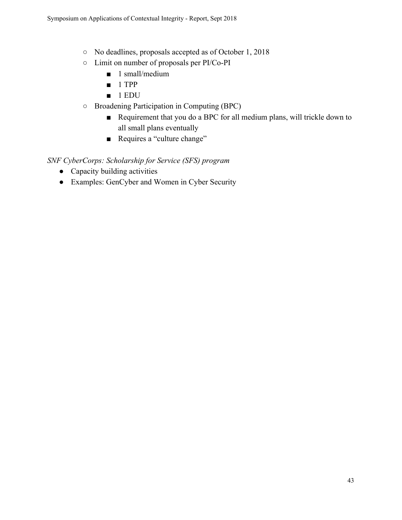- No deadlines, proposals accepted as of October 1, 2018
- Limit on number of proposals per PI/Co-PI
	- 1 small/medium
	- 1 TPP
	- 1 EDU
- Broadening Participation in Computing (BPC)
	- Requirement that you do a BPC for all medium plans, will trickle down to all small plans eventually
	- Requires a "culture change"

## *SNF CyberCorps: Scholarship for Service (SFS) program*

- Capacity building activities
- Examples: GenCyber and Women in Cyber Security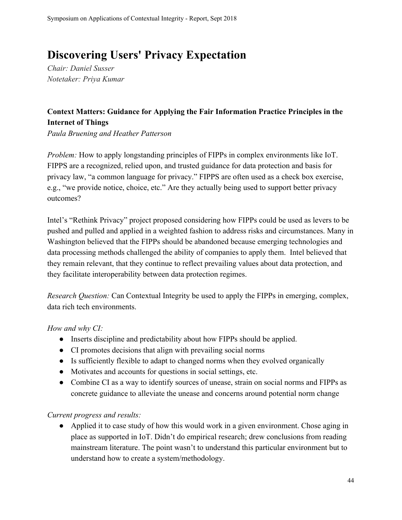## <span id="page-43-0"></span>**Discovering Users' Privacy Expectation**

*Chair: Daniel Susser Notetaker: Priya Kumar*

## <span id="page-43-1"></span>**Context Matters: Guidance for Applying the Fair Information Practice Principles in the Internet of Things**

*Paula Bruening and Heather Patterson*

*Problem:* How to apply longstanding principles of FIPPs in complex environments like IoT. FIPPS are a recognized, relied upon, and trusted guidance for data protection and basis for privacy law, "a common language for privacy." FIPPS are often used as a check box exercise, e.g., "we provide notice, choice, etc." Are they actually being used to support better privacy outcomes?

Intel's "Rethink Privacy" project proposed considering how FIPPs could be used as levers to be pushed and pulled and applied in a weighted fashion to address risks and circumstances. Many in Washington believed that the FIPPs should be abandoned because emerging technologies and data processing methods challenged the ability of companies to apply them. Intel believed that they remain relevant, that they continue to reflect prevailing values about data protection, and they facilitate interoperability between data protection regimes.

*Research Question:* Can Contextual Integrity be used to apply the FIPPs in emerging, complex, data rich tech environments.

*How and why CI:*

- Inserts discipline and predictability about how FIPPs should be applied.
- CI promotes decisions that align with prevailing social norms
- Is sufficiently flexible to adapt to changed norms when they evolved organically
- Motivates and accounts for questions in social settings, etc.
- Combine CI as a way to identify sources of unease, strain on social norms and FIPPs as concrete guidance to alleviate the unease and concerns around potential norm change

*Current progress and results:*

• Applied it to case study of how this would work in a given environment. Chose aging in place as supported in IoT. Didn't do empirical research; drew conclusions from reading mainstream literature. The point wasn't to understand this particular environment but to understand how to create a system/methodology.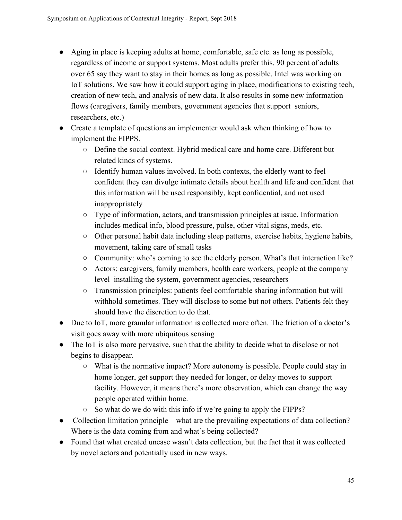- Aging in place is keeping adults at home, comfortable, safe etc. as long as possible, regardless of income or support systems. Most adults prefer this. 90 percent of adults over 65 say they want to stay in their homes as long as possible. Intel was working on IoT solutions. We saw how it could support aging in place, modifications to existing tech, creation of new tech, and analysis of new data. It also results in some new information flows (caregivers, family members, government agencies that support seniors, researchers, etc.)
- Create a template of questions an implementer would ask when thinking of how to implement the FIPPS.
	- Define the social context. Hybrid medical care and home care. Different but related kinds of systems.
	- Identify human values involved. In both contexts, the elderly want to feel confident they can divulge intimate details about health and life and confident that this information will be used responsibly, kept confidential, and not used inappropriately
	- Type of information, actors, and transmission principles at issue. Information includes medical info, blood pressure, pulse, other vital signs, meds, etc.
	- Other personal habit data including sleep patterns, exercise habits, hygiene habits, movement, taking care of small tasks
	- Community: who's coming to see the elderly person. What's that interaction like?
	- Actors: caregivers, family members, health care workers, people at the company level installing the system, government agencies, researchers
	- Transmission principles: patients feel comfortable sharing information but will withhold sometimes. They will disclose to some but not others. Patients felt they should have the discretion to do that.
- Due to IoT, more granular information is collected more often. The friction of a doctor's visit goes away with more ubiquitous sensing
- The IoT is also more pervasive, such that the ability to decide what to disclose or not begins to disappear.
	- What is the normative impact? More autonomy is possible. People could stay in home longer, get support they needed for longer, or delay moves to support facility. However, it means there's more observation, which can change the way people operated within home.
	- So what do we do with this info if we're going to apply the FIPPs?
- Collection limitation principle what are the prevailing expectations of data collection? Where is the data coming from and what's being collected?
- Found that what created unease wasn't data collection, but the fact that it was collected by novel actors and potentially used in new ways.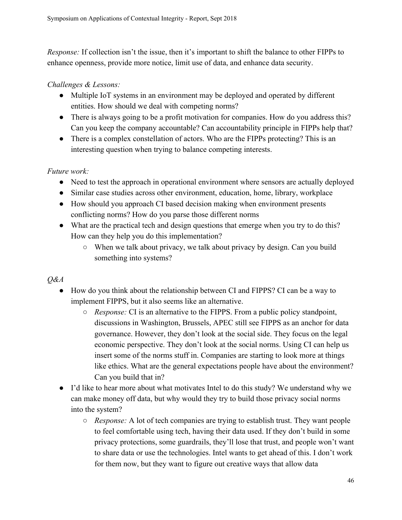*Response:* If collection isn't the issue, then it's important to shift the balance to other FIPPs to enhance openness, provide more notice, limit use of data, and enhance data security.

### *Challenges & Lessons:*

- Multiple IoT systems in an environment may be deployed and operated by different entities. How should we deal with competing norms?
- There is always going to be a profit motivation for companies. How do you address this? Can you keep the company accountable? Can accountability principle in FIPPs help that?
- There is a complex constellation of actors. Who are the FIPPs protecting? This is an interesting question when trying to balance competing interests.

## *Future work:*

- Need to test the approach in operational environment where sensors are actually deployed
- Similar case studies across other environment, education, home, library, workplace
- How should you approach CI based decision making when environment presents conflicting norms? How do you parse those different norms
- What are the practical tech and design questions that emerge when you try to do this? How can they help you do this implementation?
	- When we talk about privacy, we talk about privacy by design. Can you build something into systems?

## *Q&A*

- How do you think about the relationship between CI and FIPPS? CI can be a way to implement FIPPS, but it also seems like an alternative.
	- *Response:* CI is an alternative to the FIPPS. From a public policy standpoint, discussions in Washington, Brussels, APEC still see FIPPS as an anchor for data governance. However, they don't look at the social side. They focus on the legal economic perspective. They don't look at the social norms. Using CI can help us insert some of the norms stuff in. Companies are starting to look more at things like ethics. What are the general expectations people have about the environment? Can you build that in?
- I'd like to hear more about what motivates Intel to do this study? We understand why we can make money off data, but why would they try to build those privacy social norms into the system?
	- *Response:* A lot of tech companies are trying to establish trust. They want people to feel comfortable using tech, having their data used. If they don't build in some privacy protections, some guardrails, they'll lose that trust, and people won't want to share data or use the technologies. Intel wants to get ahead of this. I don't work for them now, but they want to figure out creative ways that allow data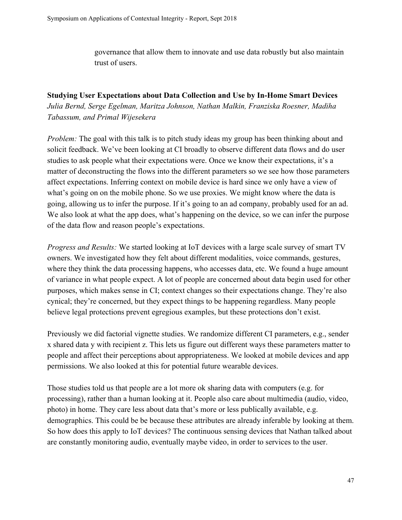governance that allow them to innovate and use data robustly but also maintain trust of users.

## <span id="page-46-0"></span>**Studying User Expectations about Data Collection and Use by In-Home Smart Devices** *Julia Bernd, Serge Egelman, Maritza Johnson, Nathan Malkin, Franziska Roesner, Madiha Tabassum, and Primal Wijesekera*

*Problem:* The goal with this talk is to pitch study ideas my group has been thinking about and solicit feedback. We've been looking at CI broadly to observe different data flows and do user studies to ask people what their expectations were. Once we know their expectations, it's a matter of deconstructing the flows into the different parameters so we see how those parameters affect expectations. Inferring context on mobile device is hard since we only have a view of what's going on on the mobile phone. So we use proxies. We might know where the data is going, allowing us to infer the purpose. If it's going to an ad company, probably used for an ad. We also look at what the app does, what's happening on the device, so we can infer the purpose of the data flow and reason people's expectations.

*Progress and Results:* We started looking at IoT devices with a large scale survey of smart TV owners. We investigated how they felt about different modalities, voice commands, gestures, where they think the data processing happens, who accesses data, etc. We found a huge amount of variance in what people expect. A lot of people are concerned about data begin used for other purposes, which makes sense in CI; context changes so their expectations change. They're also cynical; they're concerned, but they expect things to be happening regardless. Many people believe legal protections prevent egregious examples, but these protections don't exist.

Previously we did factorial vignette studies. We randomize different CI parameters, e.g., sender x shared data y with recipient z. This lets us figure out different ways these parameters matter to people and affect their perceptions about appropriateness. We looked at mobile devices and app permissions. We also looked at this for potential future wearable devices.

Those studies told us that people are a lot more ok sharing data with computers (e.g. for processing), rather than a human looking at it. People also care about multimedia (audio, video, photo) in home. They care less about data that's more or less publically available, e.g. demographics. This could be be because these attributes are already inferable by looking at them. So how does this apply to IoT devices? The continuous sensing devices that Nathan talked about are constantly monitoring audio, eventually maybe video, in order to services to the user.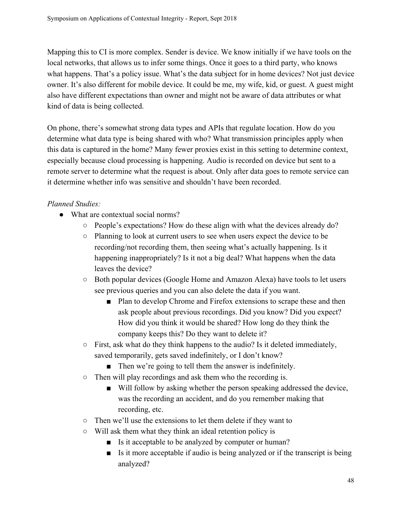Mapping this to CI is more complex. Sender is device. We know initially if we have tools on the local networks, that allows us to infer some things. Once it goes to a third party, who knows what happens. That's a policy issue. What's the data subject for in home devices? Not just device owner. It's also different for mobile device. It could be me, my wife, kid, or guest. A guest might also have different expectations than owner and might not be aware of data attributes or what kind of data is being collected.

On phone, there's somewhat strong data types and APIs that regulate location. How do you determine what data type is being shared with who? What transmission principles apply when this data is captured in the home? Many fewer proxies exist in this setting to determine context, especially because cloud processing is happening. Audio is recorded on device but sent to a remote server to determine what the request is about. Only after data goes to remote service can it determine whether info was sensitive and shouldn't have been recorded.

## *Planned Studies:*

- What are contextual social norms?
	- People's expectations? How do these align with what the devices already do?
	- Planning to look at current users to see when users expect the device to be recording/not recording them, then seeing what's actually happening. Is it happening inappropriately? Is it not a big deal? What happens when the data leaves the device?
	- Both popular devices (Google Home and Amazon Alexa) have tools to let users see previous queries and you can also delete the data if you want.
		- Plan to develop Chrome and Firefox extensions to scrape these and then ask people about previous recordings. Did you know? Did you expect? How did you think it would be shared? How long do they think the company keeps this? Do they want to delete it?
	- $\circ$  First, ask what do they think happens to the audio? Is it deleted immediately, saved temporarily, gets saved indefinitely, or I don't know?
		- Then we're going to tell them the answer is indefinitely.
	- Then will play recordings and ask them who the recording is.
		- Will follow by asking whether the person speaking addressed the device, was the recording an accident, and do you remember making that recording, etc.
	- Then we'll use the extensions to let them delete if they want to
	- Will ask them what they think an ideal retention policy is
		- Is it acceptable to be analyzed by computer or human?
		- Is it more acceptable if audio is being analyzed or if the transcript is being analyzed?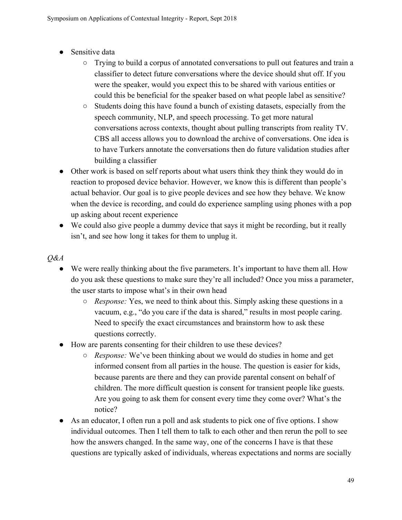- Sensitive data
	- Trying to build a corpus of annotated conversations to pull out features and train a classifier to detect future conversations where the device should shut off. If you were the speaker, would you expect this to be shared with various entities or could this be beneficial for the speaker based on what people label as sensitive?
	- Students doing this have found a bunch of existing datasets, especially from the speech community, NLP, and speech processing. To get more natural conversations across contexts, thought about pulling transcripts from reality TV. CBS all access allows you to download the archive of conversations. One idea is to have Turkers annotate the conversations then do future validation studies after building a classifier
- Other work is based on self reports about what users think they think they would do in reaction to proposed device behavior. However, we know this is different than people's actual behavior. Our goal is to give people devices and see how they behave. We know when the device is recording, and could do experience sampling using phones with a pop up asking about recent experience
- We could also give people a dummy device that says it might be recording, but it really isn't, and see how long it takes for them to unplug it.

### *Q&A*

- We were really thinking about the five parameters. It's important to have them all. How do you ask these questions to make sure they're all included? Once you miss a parameter, the user starts to impose what's in their own head
	- *Response:* Yes, we need to think about this. Simply asking these questions in a vacuum, e.g., "do you care if the data is shared," results in most people caring. Need to specify the exact circumstances and brainstorm how to ask these questions correctly.
- How are parents consenting for their children to use these devices?
	- *Response:* We've been thinking about we would do studies in home and get informed consent from all parties in the house. The question is easier for kids, because parents are there and they can provide parental consent on behalf of children. The more difficult question is consent for transient people like guests. Are you going to ask them for consent every time they come over? What's the notice?
- As an educator, I often run a poll and ask students to pick one of five options. I show individual outcomes. Then I tell them to talk to each other and then rerun the poll to see how the answers changed. In the same way, one of the concerns I have is that these questions are typically asked of individuals, whereas expectations and norms are socially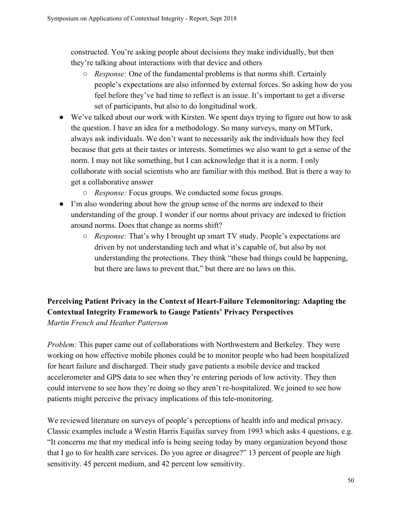constructed. You're asking people about decisions they make individually, but then they're talking about interactions with that device and others

- *Response:* One of the fundamental problems is that norms shift. Certainly people's expectations are also informed by external forces. So asking how do you feel before they've had time to reflect is an issue. It's important to get a diverse set of participants, but also to do longitudinal work.
- We've talked about our work with Kirsten. We spent days trying to figure out how to ask the question. I have an idea for a methodology. So many surveys, many on MTurk, always ask individuals. We don't want to necessarily ask the individuals how they feel because that gets at their tastes or interests. Sometimes we also want to get a sense of the norm. I may not like something, but I can acknowledge that it is a norm. I only collaborate with social scientists who are familiar with this method. But is there a way to get a collaborative answer
	- *Response:* Focus groups. We conducted some focus groups.
- I'm also wondering about how the group sense of the norms are indexed to their understanding of the group. I wonder if our norms about privacy are indexed to friction around norms. Does that change as norms shift?
	- *Response:* That's why I brought up smart TV study. People's expectations are driven by not understanding tech and what it's capable of, but also by not understanding the protections. They think "these bad things could be happening, but there are laws to prevent that," but there are no laws on this.

## <span id="page-49-0"></span>**Perceiving Patient Privacy in the Context of Heart-Failure Telemonitoring: Adapting the Contextual Integrity Framework to Gauge Patients' Privacy Perspectives** *Martin French and Heather Patterson*

*Problem:* This paper came out of collaborations with Northwestern and Berkeley. They were working on how effective mobile phones could be to monitor people who had been hospitalized for heart failure and discharged. Their study gave patients a mobile device and tracked accelerometer and GPS data to see when they're entering periods of low activity. They then could intervene to see how they're doing so they aren't re-hospitalized. We joined to see how patients might perceive the privacy implications of this tele-monitoring.

We reviewed literature on surveys of people's perceptions of health info and medical privacy. Classic examples include a Westin Harris Equifax survey from 1993 which asks 4 questions, e.g. "It concerns me that my medical info is being seeing today by many organization beyond those that I go to for health care services. Do you agree or disagree?" 13 percent of people are high sensitivity. 45 percent medium, and 42 percent low sensitivity.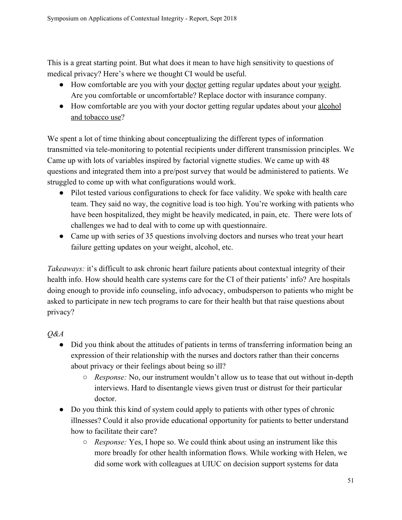This is a great starting point. But what does it mean to have high sensitivity to questions of medical privacy? Here's where we thought CI would be useful.

- How comfortable are you with your doctor getting regular updates about your weight. Are you comfortable or uncomfortable? Replace doctor with insurance company.
- How comfortable are you with your doctor getting regular updates about your alcohol and tobacco use?

We spent a lot of time thinking about conceptualizing the different types of information transmitted via tele-monitoring to potential recipients under different transmission principles. We Came up with lots of variables inspired by factorial vignette studies. We came up with 48 questions and integrated them into a pre/post survey that would be administered to patients. We struggled to come up with what configurations would work.

- Pilot tested various configurations to check for face validity. We spoke with health care team. They said no way, the cognitive load is too high. You're working with patients who have been hospitalized, they might be heavily medicated, in pain, etc. There were lots of challenges we had to deal with to come up with questionnaire.
- Came up with series of 35 questions involving doctors and nurses who treat your heart failure getting updates on your weight, alcohol, etc.

*Takeaways:* it's difficult to ask chronic heart failure patients about contextual integrity of their health info. How should health care systems care for the CI of their patients' info? Are hospitals doing enough to provide info counseling, info advocacy, ombudsperson to patients who might be asked to participate in new tech programs to care for their health but that raise questions about privacy?

*Q&A*

- Did you think about the attitudes of patients in terms of transferring information being an expression of their relationship with the nurses and doctors rather than their concerns about privacy or their feelings about being so ill?
	- *Response:* No, our instrument wouldn't allow us to tease that out without in-depth interviews. Hard to disentangle views given trust or distrust for their particular doctor.
- Do you think this kind of system could apply to patients with other types of chronic illnesses? Could it also provide educational opportunity for patients to better understand how to facilitate their care?
	- *Response:* Yes, I hope so. We could think about using an instrument like this more broadly for other health information flows. While working with Helen, we did some work with colleagues at UIUC on decision support systems for data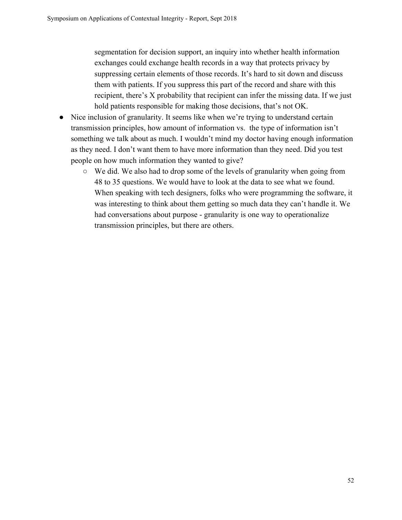segmentation for decision support, an inquiry into whether health information exchanges could exchange health records in a way that protects privacy by suppressing certain elements of those records. It's hard to sit down and discuss them with patients. If you suppress this part of the record and share with this recipient, there's X probability that recipient can infer the missing data. If we just hold patients responsible for making those decisions, that's not OK.

- Nice inclusion of granularity. It seems like when we're trying to understand certain transmission principles, how amount of information vs. the type of information isn't something we talk about as much. I wouldn't mind my doctor having enough information as they need. I don't want them to have more information than they need. Did you test people on how much information they wanted to give?
	- We did. We also had to drop some of the levels of granularity when going from 48 to 35 questions. We would have to look at the data to see what we found. When speaking with tech designers, folks who were programming the software, it was interesting to think about them getting so much data they can't handle it. We had conversations about purpose - granularity is one way to operationalize transmission principles, but there are others.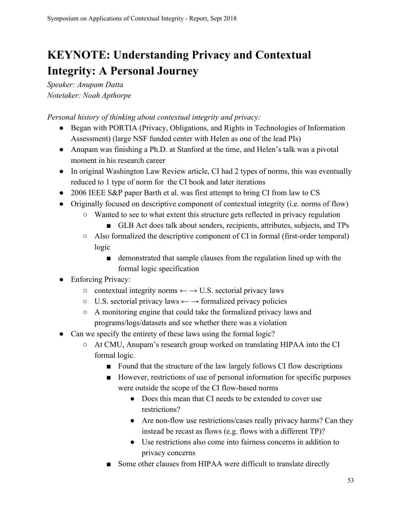## <span id="page-52-0"></span>**KEYNOTE: Understanding Privacy and Contextual Integrity: A Personal Journey**

*Speaker: Anupam Datta Notetaker: Noah Apthorpe*

*Personal history of thinking about contextual integrity and privacy:*

- Began with PORTIA (Privacy, Obligations, and Rights in Technologies of Information Assessment) (large NSF funded center with Helen as one of the lead PIs)
- Anupam was finishing a Ph.D. at Stanford at the time, and Helen's talk was a pivotal moment in his research career
- In original Washington Law Review article, CI had 2 types of norms, this was eventually reduced to 1 type of norm for the CI book and later iterations
- 2006 IEEE S&P paper Barth et al. was first attempt to bring CI from law to CS
- Originally focused on descriptive component of contextual integrity (i.e. norms of flow)
	- Wanted to see to what extent this structure gets reflected in privacy regulation
		- GLB Act does talk about senders, recipients, attributes, subjects, and TPs
	- Also formalized the descriptive component of CI in formal (first-order temporal) logic
		- demonstrated that sample clauses from the regulation lined up with the formal logic specification
- Enforcing Privacy:
	- $\circ$  contextual integrity norms  $\leftarrow \rightarrow U.S.$  sectorial privacy laws
	- $\circ$  U.S. sectorial privacy laws  $\leftarrow \rightarrow$  formalized privacy policies
	- A monitoring engine that could take the formalized privacy laws and programs/logs/datasets and see whether there was a violation
- Can we specify the entirety of these laws using the formal logic?
	- At CMU, Anupam's research group worked on translating HIPAA into the CI formal logic.
		- Found that the structure of the law largely follows CI flow descriptions
		- However, restrictions of use of personal information for specific purposes were outside the scope of the CI flow-based norms
			- Does this mean that CI needs to be extended to cover use restrictions?
			- Are non-flow use restrictions/cases really privacy harms? Can they instead be recast as flows (e.g. flows with a different TP)?
			- Use restrictions also come into fairness concerns in addition to privacy concerns
		- Some other clauses from HIPAA were difficult to translate directly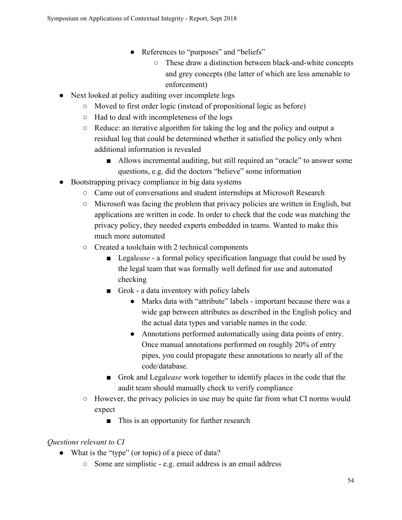- References to "purposes" and "beliefs"
	- These draw a distinction between black-and-white concepts and grey concepts (the latter of which are less amenable to enforcement)
- Next looked at policy auditing over incomplete logs
	- Moved to first order logic (instead of propositional logic as before)
	- Had to deal with incompleteness of the logs
	- $\circ$  Reduce: an iterative algorithm for taking the log and the policy and output a residual log that could be determined whether it satisfied the policy only when additional information is revealed
		- Allows incremental auditing, but still required an "oracle" to answer some questions, e.g. did the doctors "believe" some information
- Bootstrapping privacy compliance in big data systems
	- Came out of conversations and student internships at Microsoft Research
	- $\circ$  Microsoft was facing the problem that privacy policies are written in English, but applications are written in code. In order to check that the code was matching the privacy policy, they needed experts embedded in teams. Wanted to make this much more automated
	- Created a toolchain with 2 technical components
		- Legalease a formal policy specification language that could be used by the legal team that was formally well defined for use and automated checking
		- Grok a data inventory with policy labels
			- Marks data with "attribute" labels important because there was a wide gap between attributes as described in the English policy and the actual data types and variable names in the code.
			- Annotations performed automatically using data points of entry. Once manual annotations performed on roughly 20% of entry pipes, you could propagate these annotations to nearly all of the code/database.
		- Grok and Legalease work together to identify places in the code that the audit team should manually check to verify compliance
	- However, the privacy policies in use may be quite far from what CI norms would expect
		- This is an opportunity for further research

## *Questions relevant to CI*

- What is the "type" (or topic) of a piece of data?
	- Some are simplistic e.g. email address is an email address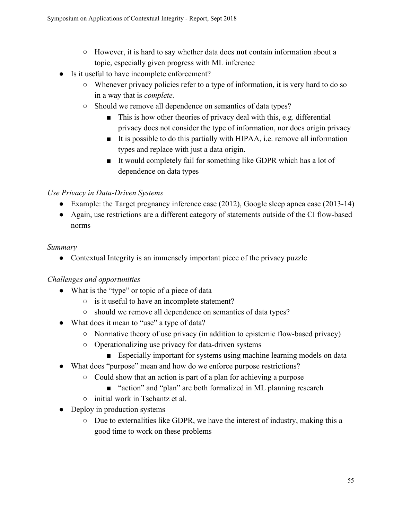- However, it is hard to say whether data does **not** contain information about a topic, especially given progress with ML inference
- Is it useful to have incomplete enforcement?
	- Whenever privacy policies refer to a type of information, it is very hard to do so in a way that is *complete.*
	- Should we remove all dependence on semantics of data types?
		- This is how other theories of privacy deal with this, e.g. differential privacy does not consider the type of information, nor does origin privacy
		- It is possible to do this partially with HIPAA, i.e. remove all information types and replace with just a data origin.
		- It would completely fail for something like GDPR which has a lot of dependence on data types

## *Use Privacy in Data-Driven Systems*

- Example: the Target pregnancy inference case (2012), Google sleep apnea case (2013-14)
- Again, use restrictions are a different category of statements outside of the CI flow-based norms

## *Summary*

• Contextual Integrity is an immensely important piece of the privacy puzzle

## *Challenges and opportunities*

- What is the "type" or topic of a piece of data
	- is it useful to have an incomplete statement?
	- should we remove all dependence on semantics of data types?
- What does it mean to "use" a type of data?
	- Normative theory of use privacy (in addition to epistemic flow-based privacy)
	- Operationalizing use privacy for data-driven systems
		- Especially important for systems using machine learning models on data
- What does "purpose" mean and how do we enforce purpose restrictions?
	- Could show that an action is part of a plan for achieving a purpose
		- "action" and "plan" are both formalized in ML planning research
	- initial work in Tschantz et al.
- Deploy in production systems
	- Due to externalities like GDPR, we have the interest of industry, making this a good time to work on these problems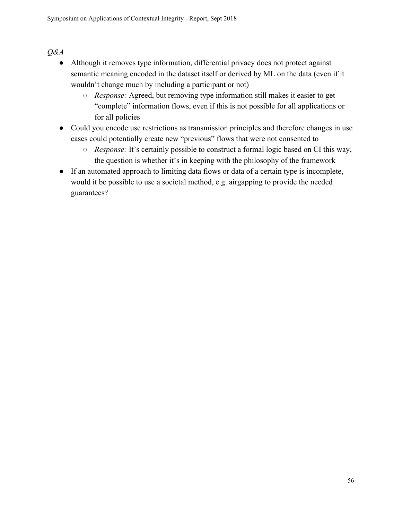## *Q&A*

- Although it removes type information, differential privacy does not protect against semantic meaning encoded in the dataset itself or derived by ML on the data (even if it wouldn't change much by including a participant or not)
	- *Response:* Agreed, but removing type information still makes it easier to get "complete" information flows, even if this is not possible for all applications or for all policies
- Could you encode use restrictions as transmission principles and therefore changes in use cases could potentially create new "previous" flows that were not consented to
	- *Response:* It's certainly possible to construct a formal logic based on CI this way, the question is whether it's in keeping with the philosophy of the framework
- If an automated approach to limiting data flows or data of a certain type is incomplete, would it be possible to use a societal method, e.g. airgapping to provide the needed guarantees?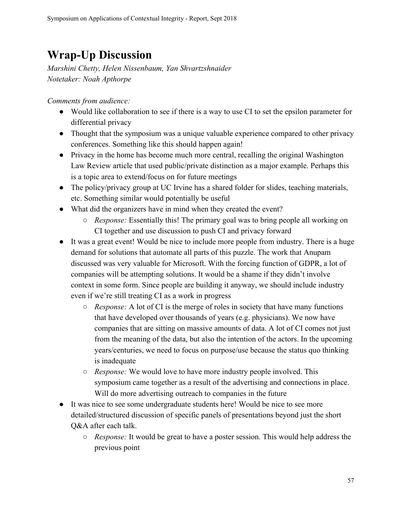## <span id="page-56-0"></span>**Wrap-Up Discussion**

*Marshini Chetty, Helen Nissenbaum, Yan Shvartzshnaider Notetaker: Noah Apthorpe*

*Comments from audience:*

- Would like collaboration to see if there is a way to use CI to set the epsilon parameter for differential privacy
- Thought that the symposium was a unique valuable experience compared to other privacy conferences. Something like this should happen again!
- Privacy in the home has become much more central, recalling the original Washington Law Review article that used public/private distinction as a major example. Perhaps this is a topic area to extend/focus on for future meetings
- The policy/privacy group at UC Irvine has a shared folder for slides, teaching materials, etc. Something similar would potentially be useful
- What did the organizers have in mind when they created the event?
	- *Response:* Essentially this! The primary goal was to bring people all working on CI together and use discussion to push CI and privacy forward
- It was a great event! Would be nice to include more people from industry. There is a huge demand for solutions that automate all parts of this puzzle. The work that Anupam discussed was very valuable for Microsoft. With the forcing function of GDPR, a lot of companies will be attempting solutions. It would be a shame if they didn't involve context in some form. Since people are building it anyway, we should include industry even if we're still treating CI as a work in progress
	- *Response:* A lot of CI is the merge of roles in society that have many functions that have developed over thousands of years (e.g. physicians). We now have companies that are sitting on massive amounts of data. A lot of CI comes not just from the meaning of the data, but also the intention of the actors. In the upcoming years/centuries, we need to focus on purpose/use because the status quo thinking is inadequate
	- *Response:* We would love to have more industry people involved. This symposium came together as a result of the advertising and connections in place. Will do more advertising outreach to companies in the future
- It was nice to see some undergraduate students here! Would be nice to see more detailed/structured discussion of specific panels of presentations beyond just the short Q&A after each talk.
	- *Response:* It would be great to have a poster session. This would help address the previous point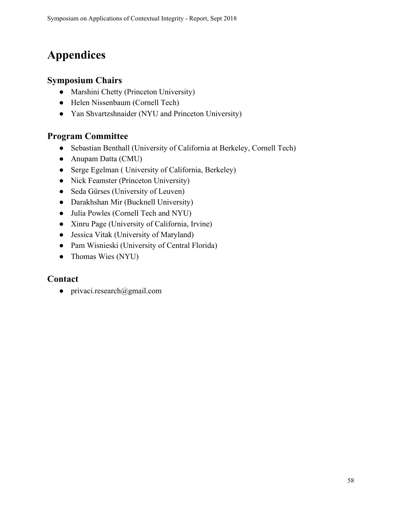## <span id="page-57-0"></span>**Appendices**

## <span id="page-57-1"></span>**Symposium Chairs**

- [Marshini Chetty](https://www.marshini.net/) (Princeton University)
- [Helen Nissenbaum](https://nissenbaum.tech.cornell.edu/) (Cornell Tech)
- [Yan Shvartzshnaider](https://cs.nyu.edu/~yansh/) (NYU and Princeton University)

## <span id="page-57-2"></span>**Program Committee**

- [Sebastian Benthall](http://people.ischool.berkeley.edu/~sb/) (University of California at Berkeley, Cornell Tech)
- [Anupam Datta](https://csd.cs.cmu.edu/people/faculty/anupam-datta) (CMU)
- [Serge Egelman](https://www.icsi.berkeley.edu/icsi/people/egelman) ( University of California, Berkeley)
- [Nick Feamster](https://www.cs.princeton.edu/~feamster/) (Princeton University)
- [Seda Gürses](http://vous-etes-ici.net/) (University of Leuven)
- [Darakhshan Mir](https://www.bucknell.edu/academics/engineering-college-of/academic-departments/computer-science/faculty-and-staff/darakhshan-mir) (Bucknell University)
- Julia Powles (Cornell Tech and NYU)
- [Xinru Page](https://faculty.bentley.edu/details.asp?uname=xpage) (University of California, Irvine)
- [Jessica Vitak](https://jessicavitak.com/) (University of Maryland)
- [Pam Wisnieski](http://www.pamspam.com/) (University of Central Florida)
- [Thomas Wies](https://cs.nyu.edu/wies/) (NYU)

## <span id="page-57-3"></span>**Contact**

 $\bullet$  privaci.research@gmail.com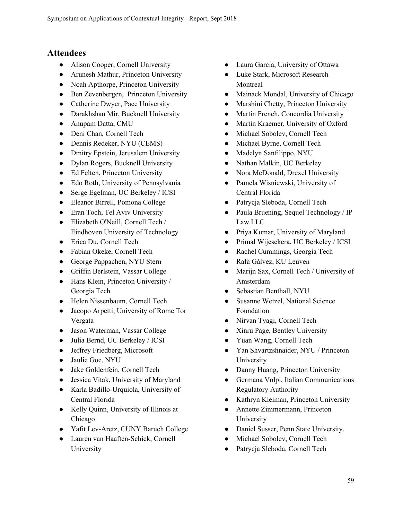## <span id="page-58-0"></span>**Attendees**

- Alison Cooper, Cornell University
- Arunesh Mathur, Princeton University
- Noah Apthorpe, Princeton University
- Ben Zevenbergen, Princeton University
- Catherine Dwyer, Pace University
- Darakhshan Mir, Bucknell University
- Anupam Datta, CMU
- Deni Chan, Cornell Tech
- Dennis Redeker, NYU (CEMS)
- Dmitry Epstein, Jerusalem University
- Dylan Rogers, Bucknell University
- Ed Felten, Princeton University
- Edo Roth, University of Pennsylvania
- Serge Egelman, UC Berkeley / ICSI
- Eleanor Birrell, Pomona College
- Eran Toch, Tel Aviv University
- Elizabeth O'Neill, Cornell Tech / Eindhoven University of Technology
- Erica Du, Cornell Tech
- Fabian Okeke, Cornell Tech
- George Pappachen, NYU Stern
- Griffin Berlstein, Vassar College
- Hans Klein, Princeton University / Georgia Tech
- Helen Nissenbaum, Cornell Tech
- Jacopo Arpetti, University of Rome Tor Vergata
- Jason Waterman, Vassar College
- Julia Bernd, UC Berkeley / ICSI
- Jeffrey Friedberg, Microsoft
- Jaulie Goe, NYU
- Jake Goldenfein, Cornell Tech
- Jessica Vitak, University of Maryland
- Karla Badillo-Urquiola, University of Central Florida
- Kelly Quinn, University of Illinois at Chicago
- Yafit Lev-Aretz, CUNY Baruch College
- Lauren van Haaften-Schick, Cornell University
- Laura Garcia, University of Ottawa
- Luke Stark, Microsoft Research Montreal
- Mainack Mondal, University of Chicago
- Marshini Chetty, Princeton University
- Martin French, Concordia University
- Martin Kraemer, University of Oxford
- Michael Sobolev, Cornell Tech
- Michael Byrne, Cornell Tech
- Madelyn Sanfilippo, NYU
- Nathan Malkin, UC Berkeley
- Nora McDonald, Drexel University
- Pamela Wisniewski, University of Central Florida
- Patrycja Sleboda, Cornell Tech
- Paula Bruening, Sequel Technology / IP Law LLC
- Priya Kumar, University of Maryland
- Primal Wijesekera, UC Berkeley / ICSI
- Rachel Cummings, Georgia Tech
- Rafa Gálvez, KU Leuven
- Marijn Sax, Cornell Tech / University of Amsterdam
- Sebastian Benthall, NYU
- Susanne Wetzel, National Science Foundation
- Nirvan Tyagi, Cornell Tech
- Xinru Page, Bentley University
- Yuan Wang, Cornell Tech
- Yan Shvartzshnaider, NYU / Princeton University
- Danny Huang, Princeton University
- Germana Volpi, Italian Communications Regulatory Authority
- Kathryn Kleiman, Princeton University
- Annette Zimmermann, Princeton University
- Daniel Susser, Penn State University.
- Michael Sobolev, Cornell Tech
- Patrycja Sleboda, Cornell Tech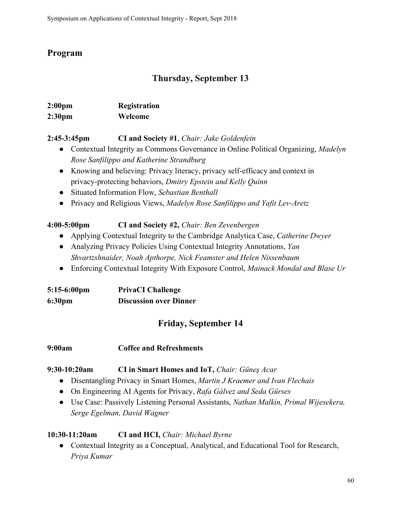## <span id="page-59-0"></span>**Program**

## **Thursday, September 13**

| 2:00 <sub>pm</sub> | Registration |  |
|--------------------|--------------|--|
| 2:30 <sub>pm</sub> | Welcome      |  |

## **2:45-3:45pm CI and Society #1**, *Chair: Jake Goldenfein*

- Contextual Integrity as Commons Governance in Online Political Organizing, *Madelyn Rose Sanfilippo and Katherine Strandburg*
- Knowing and believing: Privacy literacy, privacy self-efficacy and context in privacy-protecting behaviors, *Dmitry Epstein and Kelly Quinn*
- Situated Information Flow, *Sebastian Benthall*
- Privacy and Religious Views, *Madelyn Rose Sanfilippo and Yafit Lev-Aretz*

## **4:00-5:00pm CI and Society #2,** *Chair: Ben Zevenbergen*

- Applying Contextual Integrity to the Cambridge Analytica Case, *Catherine Dwyer*
- Analyzing Privacy Policies Using Contextual Integrity Annotations, *Yan Shvartzshnaider, Noah Apthorpe, Nick Feamster and Helen Nissenbaum*
- Enforcing Contextual Integrity With Exposure Control, *Mainack Mondal and Blase Ur*

| $5:15-6:00$ pm     | <b>PrivaCI Challenge</b>      |
|--------------------|-------------------------------|
| 6:30 <sub>pm</sub> | <b>Discussion over Dinner</b> |

## **Friday, September 14**

## **9:00am Coffee and Refreshments**

## **9:30-10:20am CI in Smart Homes and IoT,** *Chair: Güneş Acar*

- Disentangling Privacy in Smart Homes, *Martin J Kraemer and Ivan Flechais*
- On Engineering AI Agents for Privacy, *Rafa Gálvez and Seda Gürses*
- Use Case: Passively Listening Personal Assistants, *Nathan Malkin, Primal Wijesekera, Serge Egelman, David Wagner*

## **10:30-11:20am CI and HCI,** *Chair: Michael Byrne*

• Contextual Integrity as a Conceptual, Analytical, and Educational Tool for Research, *Priya Kumar*